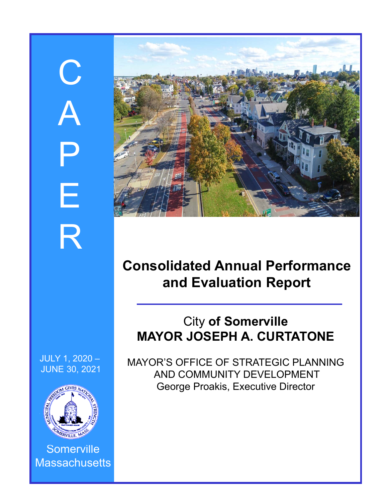# C A P E R



# **Consolidated Annual Performance and Evaluation Report**

# City **of Somerville MAYOR JOSEPH A. CURTATONE**

MAYOR'S OFFICE OF STRATEGIC PLANNING AND COMMUNITY DEVELOPMENT George Proakis, Executive Director





**Somerville Massachusetts**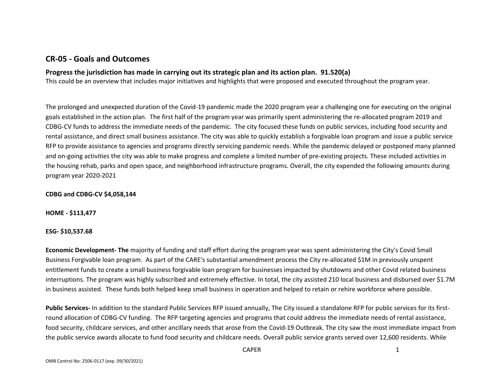# **CR‐05 ‐ Goals and Outcomes**

#### **Progress the jurisdiction has made in carrying out its strategic plan and its action plan. 91.520(a)**

This could be an overview that includes major initiatives and highlights that were proposed and executed throughout the program year.

The prolonged and unexpected duration of the Covid-19 pandemic made the 2020 program year a challenging one for executing on the original goals established in the action plan. The first half of the program year was primarily spent administering the re‐allocated program 2019 and CDBG‐CV funds to address the immediate needs of the pandemic. The city focused these funds on public services, including food security and rental assistance, and direct small business assistance. The city was able to quickly establish a forgivable loan program and issue a public service RFP to provide assistance to agencies and programs directly servicing pandemic needs. While the pandemic delayed or postponed many planned and on-going activities the city was able to make progress and complete a limited number of pre-existing projects. These included activities in the housing rehab, parks and open space, and neighborhood infrastructure programs. Overall, the city expended the following amounts during program year 2020‐2021

#### **CDBG and CDBG‐CV \$4,058,144**

**HOME ‐ \$113,477**

#### **ESG‐ \$10,537.68**

**Economic Development‐ The** majority of funding and staff effort during the program year was spent administering the City's Covid Small Business Forgivable loan program. As part of the CARE's substantial amendment process the City re‐allocated \$1M in previously unspent entitlement funds to create a small business forgivable loan program for businesses impacted by shutdowns and other Covid related business interruptions. The program was highly subscribed and extremely effective. In total, the city assisted 210 local business and disbursed over \$1.7M in business assisted. These funds both helped keep small business in operation and helped to retain or rehire workforce where possible.

**Public Services‐** In addition to the standard Public Services RFP issued annually, The City issued a standalone RFP for public services for its first‐ round allocation of CDBG‐CV funding. The RFP targeting agencies and programs that could address the immediate needs of rental assistance, food security, childcare services, and other ancillary needs that arose from the Covid-19 Outbreak. The city saw the most immediate impact from the public service awards allocate to fund food security and childcare needs. Overall public service grants served over 12,600 residents. While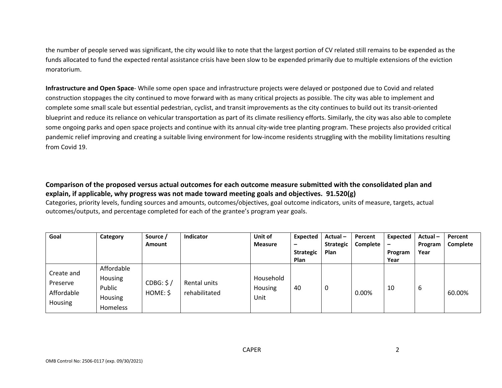the number of people served was significant, the city would like to note that the largest portion of CV related still remains to be expended as the funds allocated to fund the expected rental assistance crisis have been slow to be expended primarily due to multiple extensions of the eviction moratorium.

**Infrastructure and Open Space**‐ While some open space and infrastructure projects were delayed or postponed due to Covid and related construction stoppages the city continued to move forward with as many critical projects as possible. The city was able to implement and complete some small scale but essential pedestrian, cyclist, and transit improvements as the city continues to build out its transit‐oriented blueprint and reduce its reliance on vehicular transportation as part of its climate resiliency efforts. Similarly, the city was also able to complete some ongoing parks and open space projects and continue with its annual city-wide tree planting program. These projects also provided critical pandemic relief improving and creating a suitable living environment for low-income residents struggling with the mobility limitations resulting from Covid 19.

**Comparison of the proposed versus actual outcomes for each outcome measure submitted with the consolidated plan and explain, if applicable, why progress was not made toward meeting goals and objectives. 91.520(g)** 

Categories, priority levels, funding sources and amounts, outcomes/objectives, goal outcome indicators, units of measure, targets, actual outcomes/outputs, and percentage completed for each of the grantee's program year goals.

| Goal                                                   | Category                                               | Source /<br><b>Amount</b> | <b>Indicator</b>              | Unit of<br><b>Measure</b>    | Expected<br>$\overline{\phantom{0}}$<br><b>Strategic</b><br>Plan | Actual-<br><b>Strategic</b><br>Plan | Percent<br>Complete | Expected<br>-<br>Program<br>Year | Actual-<br>Program<br>Year | Percent<br>Complete |
|--------------------------------------------------------|--------------------------------------------------------|---------------------------|-------------------------------|------------------------------|------------------------------------------------------------------|-------------------------------------|---------------------|----------------------------------|----------------------------|---------------------|
| Create and<br>Preserve<br>Affordable<br><b>Housing</b> | Affordable<br>Housing<br>Public<br>Housing<br>Homeless | CDBG: \$/<br>HOME: \$     | Rental units<br>rehabilitated | Household<br>Housing<br>Unit | 40                                                               | 0                                   | $0.00\%$            | 10                               | 6                          | 60.00%              |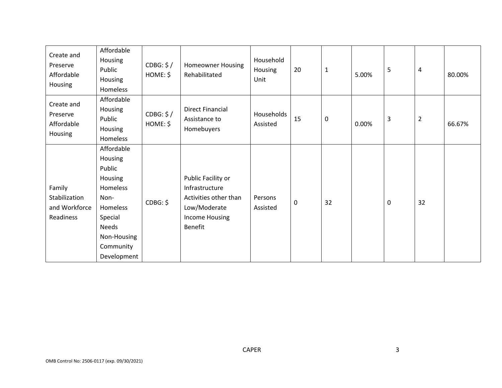| Create and<br>Preserve<br>Affordable<br>Housing       | Affordable<br>Housing<br>Public<br>Housing<br>Homeless                                                                                    | CDBG: \$/<br>HOME: \$ | Homeowner Housing<br>Rehabilitated                                                                                | Household<br>Housing<br>Unit | 20 | $\mathbf{1}$ | 5.00% | 5 | $\overline{\mathbf{4}}$ | 80.00% |
|-------------------------------------------------------|-------------------------------------------------------------------------------------------------------------------------------------------|-----------------------|-------------------------------------------------------------------------------------------------------------------|------------------------------|----|--------------|-------|---|-------------------------|--------|
| Create and<br>Preserve<br>Affordable<br>Housing       | Affordable<br>Housing<br>Public<br>Housing<br>Homeless                                                                                    | CDBG: \$/<br>HOME: \$ | <b>Direct Financial</b><br>Assistance to<br>Homebuyers                                                            | Households<br>Assisted       | 15 | $\pmb{0}$    | 0.00% | 3 | $\overline{2}$          | 66.67% |
| Family<br>Stabilization<br>and Workforce<br>Readiness | Affordable<br>Housing<br>Public<br>Housing<br>Homeless<br>Non-<br>Homeless<br>Special<br>Needs<br>Non-Housing<br>Community<br>Development | CDBG: \$              | Public Facility or<br>Infrastructure<br>Activities other than<br>Low/Moderate<br><b>Income Housing</b><br>Benefit | Persons<br>Assisted          | 0  | 32           |       | 0 | 32                      |        |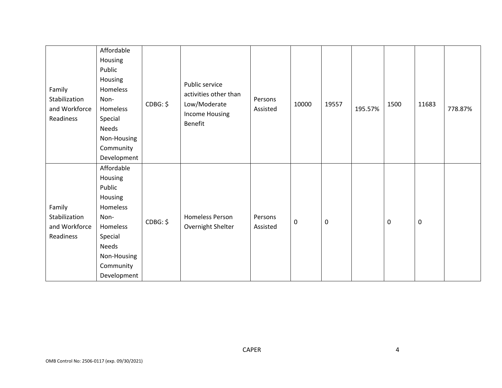| Family<br>Stabilization<br>and Workforce<br>Readiness | Affordable<br>Housing<br>Public<br>Housing<br>Homeless<br>Non-<br>Homeless<br>Special<br>Needs<br>Non-Housing<br>Community | CDBG: \$ | Public service<br>activities other than<br>Low/Moderate<br>Income Housing<br>Benefit | Persons<br>Assisted | 10000 | 19557     | 195.57% | 1500 | 11683            | 778.87% |
|-------------------------------------------------------|----------------------------------------------------------------------------------------------------------------------------|----------|--------------------------------------------------------------------------------------|---------------------|-------|-----------|---------|------|------------------|---------|
|                                                       | Development                                                                                                                |          |                                                                                      |                     |       |           |         |      |                  |         |
|                                                       | Affordable                                                                                                                 |          |                                                                                      |                     |       |           |         |      |                  |         |
|                                                       | Housing                                                                                                                    |          |                                                                                      |                     |       |           |         |      |                  |         |
|                                                       | Public                                                                                                                     |          |                                                                                      |                     |       |           |         |      |                  |         |
|                                                       | Housing                                                                                                                    |          |                                                                                      |                     |       |           |         |      |                  |         |
| Family<br>Stabilization                               | Homeless<br>Non-                                                                                                           |          | Homeless Person                                                                      | Persons             |       |           |         |      |                  |         |
| and Workforce                                         | Homeless                                                                                                                   | CDBG: \$ | Overnight Shelter                                                                    | Assisted            | 0     | $\pmb{0}$ |         | 0    | $\boldsymbol{0}$ |         |
| Readiness                                             | Special                                                                                                                    |          |                                                                                      |                     |       |           |         |      |                  |         |
|                                                       | Needs                                                                                                                      |          |                                                                                      |                     |       |           |         |      |                  |         |
|                                                       | Non-Housing                                                                                                                |          |                                                                                      |                     |       |           |         |      |                  |         |
|                                                       | Community                                                                                                                  |          |                                                                                      |                     |       |           |         |      |                  |         |
|                                                       | Development                                                                                                                |          |                                                                                      |                     |       |           |         |      |                  |         |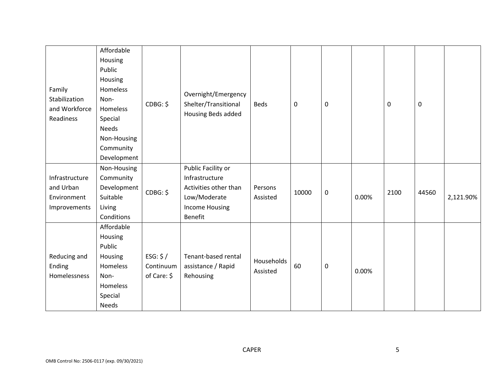|                | Affordable   |             |                                             |             |       |           |       |      |                  |           |
|----------------|--------------|-------------|---------------------------------------------|-------------|-------|-----------|-------|------|------------------|-----------|
|                | Housing      |             |                                             |             |       |           |       |      |                  |           |
|                | Public       |             |                                             |             |       |           |       |      |                  |           |
|                | Housing      |             |                                             |             |       |           |       |      |                  |           |
| Family         | Homeless     |             |                                             |             |       |           |       |      |                  |           |
| Stabilization  | Non-         | CDBG: \$    | Overnight/Emergency<br>Shelter/Transitional | <b>Beds</b> | 0     | $\pmb{0}$ |       | 0    | $\boldsymbol{0}$ |           |
| and Workforce  | Homeless     |             | Housing Beds added                          |             |       |           |       |      |                  |           |
| Readiness      | Special      |             |                                             |             |       |           |       |      |                  |           |
|                | <b>Needs</b> |             |                                             |             |       |           |       |      |                  |           |
|                | Non-Housing  |             |                                             |             |       |           |       |      |                  |           |
|                | Community    |             |                                             |             |       |           |       |      |                  |           |
|                | Development  |             |                                             |             |       |           |       |      |                  |           |
|                | Non-Housing  |             | Public Facility or                          |             |       |           |       |      |                  |           |
| Infrastructure | Community    |             | Infrastructure                              |             |       |           |       |      |                  |           |
| and Urban      | Development  | CDBG: \$    | Activities other than                       | Persons     | 10000 |           |       | 2100 | 44560            |           |
| Environment    | Suitable     |             | Low/Moderate                                | Assisted    |       | $\pmb{0}$ | 0.00% |      |                  | 2,121.90% |
| Improvements   | Living       |             | <b>Income Housing</b>                       |             |       |           |       |      |                  |           |
|                | Conditions   |             | Benefit                                     |             |       |           |       |      |                  |           |
|                | Affordable   |             |                                             |             |       |           |       |      |                  |           |
|                | Housing      |             |                                             |             |       |           |       |      |                  |           |
|                | Public       |             |                                             |             |       |           |       |      |                  |           |
| Reducing and   | Housing      | ESG: $$/$   | Tenant-based rental                         | Households  |       |           |       |      |                  |           |
| Ending         | Homeless     | Continuum   | assistance / Rapid                          | Assisted    | 60    | $\pmb{0}$ | 0.00% |      |                  |           |
| Homelessness   | Non-         | of Care: \$ | Rehousing                                   |             |       |           |       |      |                  |           |
|                | Homeless     |             |                                             |             |       |           |       |      |                  |           |
|                | Special      |             |                                             |             |       |           |       |      |                  |           |
|                | <b>Needs</b> |             |                                             |             |       |           |       |      |                  |           |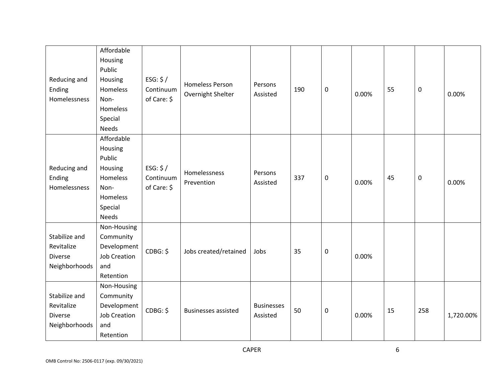|                | Affordable          |             |                            |                   |     |   |       |    |     |           |
|----------------|---------------------|-------------|----------------------------|-------------------|-----|---|-------|----|-----|-----------|
|                | Housing             |             |                            |                   |     |   |       |    |     |           |
|                | Public              |             |                            |                   |     |   |       |    |     |           |
| Reducing and   | Housing             | ESG: $$/$   |                            |                   |     |   |       |    |     |           |
| Ending         | Homeless            | Continuum   | <b>Homeless Person</b>     | Persons           | 190 | 0 |       | 55 | 0   |           |
| Homelessness   | Non-                | of Care: \$ | Overnight Shelter          | Assisted          |     |   | 0.00% |    |     | 0.00%     |
|                | Homeless            |             |                            |                   |     |   |       |    |     |           |
|                | Special             |             |                            |                   |     |   |       |    |     |           |
|                | <b>Needs</b>        |             |                            |                   |     |   |       |    |     |           |
|                | Affordable          |             |                            |                   |     |   |       |    |     |           |
|                | Housing             |             |                            |                   |     |   |       |    |     |           |
|                | Public              |             |                            |                   |     |   |       |    |     |           |
| Reducing and   | Housing             | ESG: $$/$   |                            |                   |     |   |       |    |     |           |
| Ending         | Homeless            | Continuum   | Homelessness               | Persons           | 337 |   |       | 45 |     |           |
| Homelessness   | Non-                | of Care: \$ | Prevention                 | Assisted          |     | 0 | 0.00% |    | 0   | 0.00%     |
|                | Homeless            |             |                            |                   |     |   |       |    |     |           |
|                |                     |             |                            |                   |     |   |       |    |     |           |
|                | Special             |             |                            |                   |     |   |       |    |     |           |
|                | <b>Needs</b>        |             |                            |                   |     |   |       |    |     |           |
|                | Non-Housing         |             |                            |                   |     |   |       |    |     |           |
| Stabilize and  | Community           |             |                            |                   |     |   |       |    |     |           |
| Revitalize     | Development         | CDBG: \$    | Jobs created/retained      | Jobs              | 35  | 0 |       |    |     |           |
| <b>Diverse</b> | <b>Job Creation</b> |             |                            |                   |     |   | 0.00% |    |     |           |
| Neighborhoods  | and                 |             |                            |                   |     |   |       |    |     |           |
|                | Retention           |             |                            |                   |     |   |       |    |     |           |
|                | Non-Housing         |             |                            |                   |     |   |       |    |     |           |
| Stabilize and  | Community           |             |                            |                   |     |   |       |    |     |           |
| Revitalize     | Development         | CDBG: \$    | <b>Businesses assisted</b> | <b>Businesses</b> | 50  | 0 |       | 15 | 258 |           |
| <b>Diverse</b> | <b>Job Creation</b> |             |                            | Assisted          |     |   | 0.00% |    |     | 1,720.00% |
| Neighborhoods  | and                 |             |                            |                   |     |   |       |    |     |           |
|                | Retention           |             |                            |                   |     |   |       |    |     |           |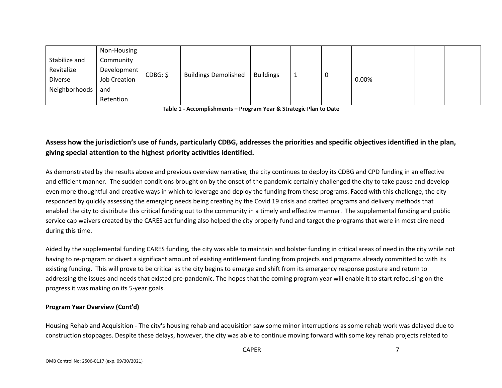|                | Non-Housing  |          |                             |                  |   |       |  |  |
|----------------|--------------|----------|-----------------------------|------------------|---|-------|--|--|
| Stabilize and  | Community    |          |                             |                  |   |       |  |  |
| Revitalize     | Development  | CDBG: \$ |                             | <b>Buildings</b> |   |       |  |  |
| <b>Diverse</b> | Job Creation |          | <b>Buildings Demolished</b> |                  | 0 | 0.00% |  |  |
| Neighborhoods  | and          |          |                             |                  |   |       |  |  |
|                | Retention    |          |                             |                  |   |       |  |  |

**Table 1 ‐ Accomplishments – Program Year & Strategic Plan to Date** 

# **Assess how the jurisdiction's use of funds, particularly CDBG, addresses the priorities and specific objectives identified in the plan, giving special attention to the highest priority activities identified.**

As demonstrated by the results above and previous overview narrative, the city continues to deploy its CDBG and CPD funding in an effective and efficient manner. The sudden conditions brought on by the onset of the pandemic certainly challenged the city to take pause and develop even more thoughtful and creative ways in which to leverage and deploy the funding from these programs. Faced with this challenge, the city responded by quickly assessing the emerging needs being creating by the Covid 19 crisis and crafted programs and delivery methods that enabled the city to distribute this critical funding out to the community in a timely and effective manner. The supplemental funding and public service cap waivers created by the CARES act funding also helped the city properly fund and target the programs that were in most dire need during this time.

Aided by the supplemental funding CARES funding, the city was able to maintain and bolster funding in critical areas of need in the city while not having to re-program or divert a significant amount of existing entitlement funding from projects and programs already committed to with its existing funding. This will prove to be critical as the city begins to emerge and shift from its emergency response posture and return to addressing the issues and needs that existed pre‐pandemic. The hopes that the coming program year will enable it to start refocusing on the progress it was making on its 5‐year goals.

#### **Program Year Overview (Cont'd)**

Housing Rehab and Acquisition ‐ The city's housing rehab and acquisition saw some minor interruptions as some rehab work was delayed due to construction stoppages. Despite these delays, however, the city was able to continue moving forward with some key rehab projects related to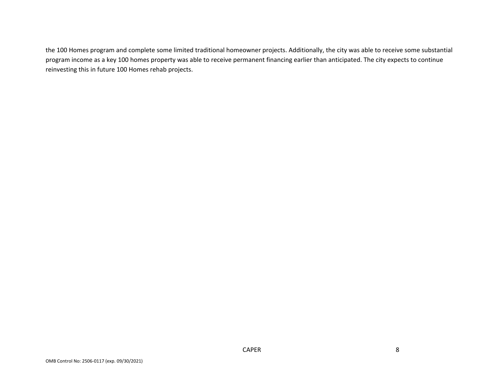the 100 Homes program and complete some limited traditional homeowner projects. Additionally, the city was able to receive some substantial program income as a key 100 homes property was able to receive permanent financing earlier than anticipated. The city expects to continue reinvesting this in future 100 Homes rehab projects.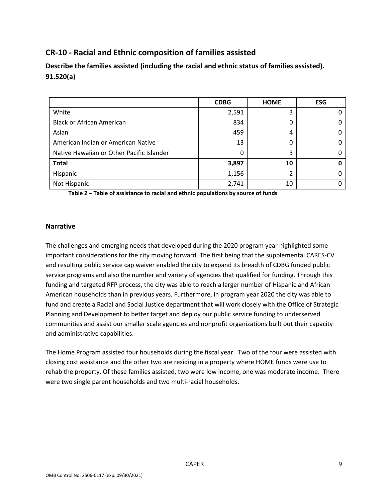# **CR‐10 ‐ Racial and Ethnic composition of families assisted**

**Describe the families assisted (including the racial and ethnic status of families assisted). 91.520(a)** 

|                                           | <b>CDBG</b> | <b>HOME</b> | <b>ESG</b> |
|-------------------------------------------|-------------|-------------|------------|
| White                                     | 2,591       | 3           |            |
| <b>Black or African American</b>          | 834         |             | 0          |
| Asian                                     | 459         | 4           | 0          |
| American Indian or American Native        | 13          |             | 0          |
| Native Hawaiian or Other Pacific Islander | 0           | 3           | 0          |
| <b>Total</b>                              | 3,897       | 10          | n          |
| Hispanic                                  | 1,156       |             | O          |
| Not Hispanic                              | 2,741       | 10          |            |

**Table 2 – Table of assistance to racial and ethnic populations by source of funds** 

#### **Narrative**

The challenges and emerging needs that developed during the 2020 program year highlighted some important considerations for the city moving forward. The first being that the supplemental CARES‐CV and resulting public service cap waiver enabled the city to expand its breadth of CDBG funded public service programs and also the number and variety of agencies that qualified for funding. Through this funding and targeted RFP process, the city was able to reach a larger number of Hispanic and African American households than in previous years. Furthermore, in program year 2020 the city was able to fund and create a Racial and Social Justice department that will work closely with the Office of Strategic Planning and Development to better target and deploy our public service funding to underserved communities and assist our smaller scale agencies and nonprofit organizations built out their capacity and administrative capabilities.

The Home Program assisted four households during the fiscal year. Two of the four were assisted with closing cost assistance and the other two are residing in a property where HOME funds were use to rehab the property. Of these families assisted, two were low income, one was moderate income. There were two single parent households and two multi‐racial households.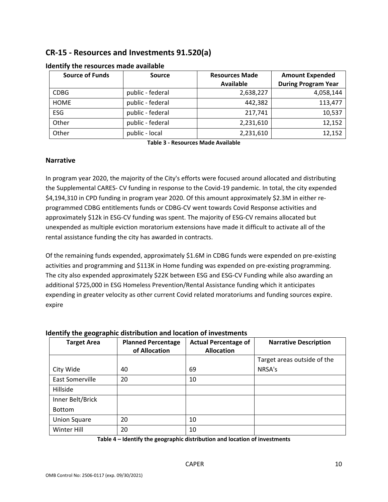# **CR‐15 ‐ Resources and Investments 91.520(a)**

| <b>Source of Funds</b> | <b>Source</b>    | <b>Resources Made</b> | <b>Amount Expended</b>     |
|------------------------|------------------|-----------------------|----------------------------|
|                        |                  | <b>Available</b>      | <b>During Program Year</b> |
| <b>CDBG</b>            | public - federal | 2,638,227             | 4,058,144                  |
| <b>HOME</b>            | public - federal | 442,382               | 113,477                    |
| <b>ESG</b>             | public - federal | 217.741               | 10,537                     |
| Other                  | public - federal | 2,231,610             | 12,152                     |
| Other                  | public - local   | 2,231,610             | 12,152                     |

#### **Identify the resources made available**

**Table 3 ‐ Resources Made Available** 

#### **Narrative**

In program year 2020, the majority of the City's efforts were focused around allocated and distributing the Supplemental CARES‐ CV funding in response to the Covid‐19 pandemic. In total, the city expended \$4,194,310 in CPD funding in program year 2020. Of this amount approximately \$2.3M in either reprogrammed CDBG entitlements funds or CDBG‐CV went towards Covid Response activities and approximately \$12k in ESG‐CV funding was spent. The majority of ESG‐CV remains allocated but unexpended as multiple eviction moratorium extensions have made it difficult to activate all of the rental assistance funding the city has awarded in contracts.

Of the remaining funds expended, approximately \$1.6M in CDBG funds were expended on pre‐existing activities and programming and \$113K in Home funding was expended on pre‐existing programming. The city also expended approximately \$22K between ESG and ESG‐CV Funding while also awarding an additional \$725,000 in ESG Homeless Prevention/Rental Assistance funding which it anticipates expending in greater velocity as other current Covid related moratoriums and funding sources expire. expire

#### **Identify the geographic distribution and location of investments**

| <b>Target Area</b>  | <b>Planned Percentage</b><br>of Allocation | <b>Actual Percentage of</b><br><b>Allocation</b> | <b>Narrative Description</b> |
|---------------------|--------------------------------------------|--------------------------------------------------|------------------------------|
|                     |                                            |                                                  | Target areas outside of the  |
| City Wide           | 40                                         | 69                                               | NRSA's                       |
| East Somerville     | 20                                         | 10                                               |                              |
| Hillside            |                                            |                                                  |                              |
| Inner Belt/Brick    |                                            |                                                  |                              |
| <b>Bottom</b>       |                                            |                                                  |                              |
| <b>Union Square</b> | 20                                         | 10                                               |                              |
| Winter Hill         | 20                                         | 10                                               |                              |

**Table 4 – Identify the geographic distribution and location of investments**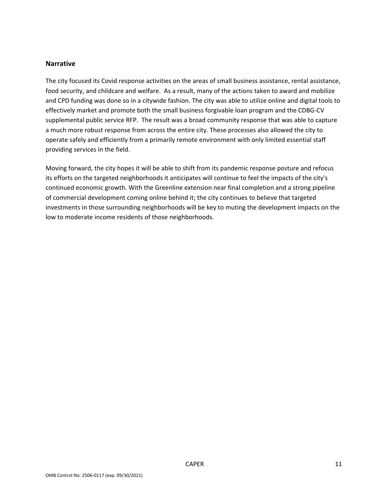#### **Narrative**

The city focused its Covid response activities on the areas of small business assistance, rental assistance, food security, and childcare and welfare. As a result, many of the actions taken to award and mobilize and CPD funding was done so in a citywide fashion. The city was able to utilize online and digital tools to effectively market and promote both the small business forgivable loan program and the CDBG‐CV supplemental public service RFP. The result was a broad community response that was able to capture a much more robust response from across the entire city. These processes also allowed the city to operate safely and efficiently from a primarily remote environment with only limited essential staff providing services in the field.

Moving forward, the city hopes it will be able to shift from its pandemic response posture and refocus its efforts on the targeted neighborhoods it anticipates will continue to feel the impacts of the city's continued economic growth. With the Greenline extension near final completion and a strong pipeline of commercial development coming online behind it; the city continues to believe that targeted investments in those surrounding neighborhoods will be key to muting the development impacts on the low to moderate income residents of those neighborhoods.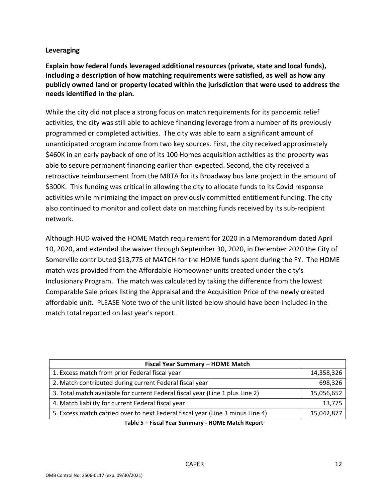## **Leveraging**

**Explain how federal funds leveraged additional resources (private, state and local funds), including a description of how matching requirements were satisfied, as well as how any publicly owned land or property located within the jurisdiction that were used to address the needs identified in the plan.** 

While the city did not place a strong focus on match requirements for its pandemic relief activities, the city was still able to achieve financing leverage from a number of its previously programmed or completed activities. The city was able to earn a significant amount of unanticipated program income from two key sources. First, the city received approximately \$460K in an early payback of one of its 100 Homes acquisition activities as the property was able to secure permanent financing earlier than expected. Second, the city received a retroactive reimbursement from the MBTA for its Broadway bus lane project in the amount of \$300K. This funding was critical in allowing the city to allocate funds to its Covid response activities while minimizing the impact on previously committed entitlement funding. The city also continued to monitor and collect data on matching funds received by its sub‐recipient network.

Although HUD waived the HOME Match requirement for 2020 in a Memorandum dated April 10, 2020, and extended the waiver through September 30, 2020, in December 2020 the City of Somerville contributed \$13,775 of MATCH for the HOME funds spent during the FY. The HOME match was provided from the Affordable Homeowner units created under the city's Inclusionary Program. The match was calculated by taking the difference from the lowest Comparable Sale prices listing the Appraisal and the Acquisition Price of the newly created affordable unit. PLEASE Note two of the unit listed below should have been included in the match total reported on last year's report.

| Fiscal Year Summary - HOME Match                                                                                                                                                                                                    |            |  |  |  |  |  |
|-------------------------------------------------------------------------------------------------------------------------------------------------------------------------------------------------------------------------------------|------------|--|--|--|--|--|
| 1. Excess match from prior Federal fiscal year                                                                                                                                                                                      | 14,358,326 |  |  |  |  |  |
| 2. Match contributed during current Federal fiscal year                                                                                                                                                                             | 698,326    |  |  |  |  |  |
| 3. Total match available for current Federal fiscal year (Line 1 plus Line 2)                                                                                                                                                       | 15,056,652 |  |  |  |  |  |
| 4. Match liability for current Federal fiscal year                                                                                                                                                                                  | 13,775     |  |  |  |  |  |
| 5. Excess match carried over to next Federal fiscal year (Line 3 minus Line 4)                                                                                                                                                      | 15,042,877 |  |  |  |  |  |
| $\tau$ if $\tau$ and $\tau$ is a contract of the contract of the contract of the contract of the contract of the contract of the contract of the contract of the contract of the contract of the contract of the contract of the co |            |  |  |  |  |  |

**Table 5 – Fiscal Year Summary ‐ HOME Match Report**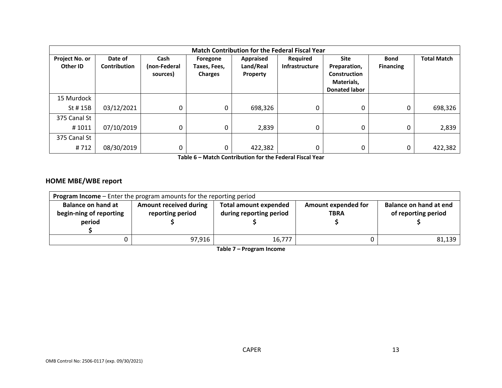|                            | <b>Match Contribution for the Federal Fiscal Year</b> |                                  |                                            |                                    |                                          |                                                                                          |                                 |                    |  |  |  |  |
|----------------------------|-------------------------------------------------------|----------------------------------|--------------------------------------------|------------------------------------|------------------------------------------|------------------------------------------------------------------------------------------|---------------------------------|--------------------|--|--|--|--|
| Project No. or<br>Other ID | Date of<br><b>Contribution</b>                        | Cash<br>(non-Federal<br>sources) | Foregone<br>Taxes, Fees,<br><b>Charges</b> | Appraised<br>Land/Real<br>Property | <b>Required</b><br><b>Infrastructure</b> | <b>Site</b><br>Preparation,<br><b>Construction</b><br>Materials,<br><b>Donated labor</b> | <b>Bond</b><br><b>Financing</b> | <b>Total Match</b> |  |  |  |  |
| 15 Murdock                 |                                                       |                                  |                                            |                                    |                                          |                                                                                          |                                 |                    |  |  |  |  |
| St # 15B                   | 03/12/2021                                            | 0                                | 0                                          | 698,326                            | 0                                        | $\Omega$                                                                                 | 0                               | 698,326            |  |  |  |  |
| 375 Canal St               |                                                       |                                  |                                            |                                    |                                          |                                                                                          |                                 |                    |  |  |  |  |
| #1011                      | 07/10/2019                                            | 0                                | 0                                          | 2,839                              | 0                                        | 0                                                                                        | 0                               | 2,839              |  |  |  |  |
| 375 Canal St               |                                                       |                                  |                                            |                                    |                                          |                                                                                          |                                 |                    |  |  |  |  |
| #712                       | 08/30/2019                                            | 0                                | 0                                          | 422,382                            |                                          | 0                                                                                        | 0                               | 422,382            |  |  |  |  |

**Table 6 – Match Contribution for the Federal Fiscal Year** 

# **HOME MBE/WBE report**

|                                                                | <b>Program Income</b> – Enter the program amounts for the reporting period |                                                         |                                           |                                               |  |  |  |  |  |  |  |
|----------------------------------------------------------------|----------------------------------------------------------------------------|---------------------------------------------------------|-------------------------------------------|-----------------------------------------------|--|--|--|--|--|--|--|
| <b>Balance on hand at</b><br>begin-ning of reporting<br>period | <b>Amount received during</b><br>reporting period                          | <b>Total amount expended</b><br>during reporting period | <b>Amount expended for</b><br><b>TBRA</b> | Balance on hand at end<br>of reporting period |  |  |  |  |  |  |  |
|                                                                | 97,916                                                                     | 16,777                                                  |                                           | 81,139                                        |  |  |  |  |  |  |  |

**Table 7 – Program Income**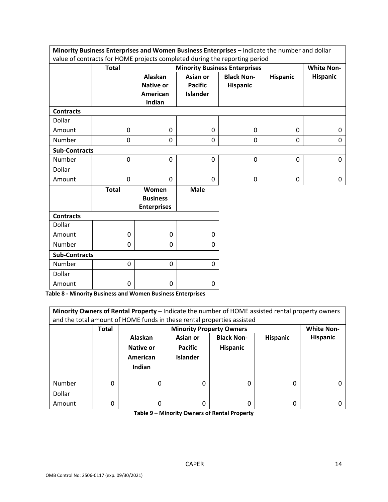|                                                                                            | Minority Business Enterprises and Women Business Enterprises - Indicate the number and dollar |                                                                 |                                               |                                      |                 |                   |
|--------------------------------------------------------------------------------------------|-----------------------------------------------------------------------------------------------|-----------------------------------------------------------------|-----------------------------------------------|--------------------------------------|-----------------|-------------------|
| value of contracts for HOME projects completed during the reporting period<br><b>Total</b> |                                                                                               |                                                                 |                                               | <b>Minority Business Enterprises</b> |                 | <b>White Non-</b> |
|                                                                                            |                                                                                               | <b>Alaskan</b><br><b>Native or</b><br><b>American</b><br>Indian | Asian or<br><b>Pacific</b><br><b>Islander</b> | <b>Black Non-</b><br>Hispanic        | <b>Hispanic</b> | <b>Hispanic</b>   |
| <b>Contracts</b>                                                                           |                                                                                               |                                                                 |                                               |                                      |                 |                   |
| Dollar                                                                                     |                                                                                               |                                                                 |                                               |                                      |                 |                   |
| Amount                                                                                     | 0                                                                                             | $\Omega$                                                        | $\Omega$                                      | $\mathbf{0}$                         | $\Omega$        | 0                 |
| Number                                                                                     | 0                                                                                             | 0                                                               | 0                                             | 0                                    | $\Omega$        | 0                 |
| <b>Sub-Contracts</b>                                                                       |                                                                                               |                                                                 |                                               |                                      |                 |                   |
| Number                                                                                     | 0                                                                                             | $\mathbf 0$                                                     | 0                                             | 0                                    | 0               | 0                 |
| Dollar                                                                                     |                                                                                               |                                                                 |                                               |                                      |                 |                   |
| Amount                                                                                     | 0                                                                                             | $\mathbf 0$                                                     | 0                                             | 0                                    | 0               | 0                 |
|                                                                                            | <b>Total</b>                                                                                  | Women<br><b>Business</b><br><b>Enterprises</b>                  | <b>Male</b>                                   |                                      |                 |                   |
| <b>Contracts</b>                                                                           |                                                                                               |                                                                 |                                               |                                      |                 |                   |
| Dollar                                                                                     |                                                                                               |                                                                 |                                               |                                      |                 |                   |
| Amount                                                                                     | 0                                                                                             | 0                                                               | $\mathbf{0}$                                  |                                      |                 |                   |
| Number                                                                                     | 0                                                                                             | 0                                                               | $\Omega$                                      |                                      |                 |                   |
| <b>Sub-Contracts</b>                                                                       |                                                                                               |                                                                 |                                               |                                      |                 |                   |
| Number                                                                                     | 0                                                                                             | 0                                                               | $\mathbf{0}$                                  |                                      |                 |                   |
| Dollar                                                                                     |                                                                                               |                                                                 |                                               |                                      |                 |                   |
| Amount                                                                                     | 0                                                                                             | 0                                                               | 0                                             |                                      |                 |                   |

**Table 8 ‐ Minority Business and Women Business Enterprises** 

| Minority Owners of Rental Property - Indicate the number of HOME assisted rental property owners<br>and the total amount of HOME funds in these rental properties assisted |              |                                                   |                                                      |                                      |                 |                 |
|----------------------------------------------------------------------------------------------------------------------------------------------------------------------------|--------------|---------------------------------------------------|------------------------------------------------------|--------------------------------------|-----------------|-----------------|
|                                                                                                                                                                            | <b>Total</b> |                                                   | <b>Minority Property Owners</b><br><b>White Non-</b> |                                      |                 |                 |
|                                                                                                                                                                            |              | <b>Alaskan</b><br>Native or<br>American<br>Indian | Asian or<br><b>Pacific</b><br><b>Islander</b>        | <b>Black Non-</b><br><b>Hispanic</b> | <b>Hispanic</b> | <b>Hispanic</b> |
| Number                                                                                                                                                                     | 0            | 0                                                 |                                                      | 0                                    | 0               |                 |
| Dollar                                                                                                                                                                     |              |                                                   |                                                      |                                      |                 |                 |
| Amount                                                                                                                                                                     | 0            | 0                                                 | 0                                                    | 0                                    | 0               |                 |

**Table 9 – Minority Owners of Rental Property** 

F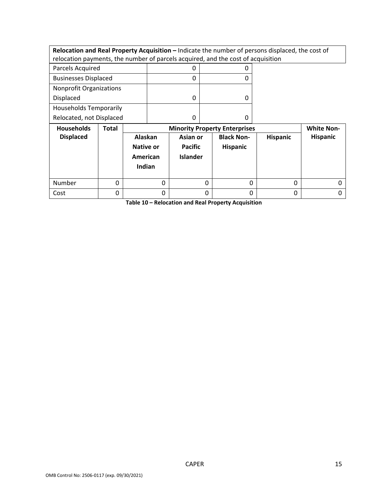**Relocation and Real Property Acquisition –** Indicate the number of persons displaced, the cost of relocation payments, the number of parcels acquired, and the cost of acquisition

| Parcels Acquired               |  |
|--------------------------------|--|
| <b>Businesses Displaced</b>    |  |
| <b>Nonprofit Organizations</b> |  |
| <b>Displaced</b>               |  |
| <b>Households Temporarily</b>  |  |
| Relocated, not Displaced       |  |

| <b>Households</b> | Total | <b>Minority Property Enterprises</b>              |                                               |                                      |                 | <b>White Non-</b> |
|-------------------|-------|---------------------------------------------------|-----------------------------------------------|--------------------------------------|-----------------|-------------------|
| <b>Displaced</b>  |       | Alaskan<br><b>Native or</b><br>American<br>Indian | Asian or<br><b>Pacific</b><br><b>Islander</b> | <b>Black Non-</b><br><b>Hispanic</b> | <b>Hispanic</b> | <b>Hispanic</b>   |
| Number            |       |                                                   | 0                                             |                                      | 0               |                   |
| Cost              |       |                                                   | 0                                             |                                      | 0               |                   |

**Table 10 – Relocation and Real Property Acquisition**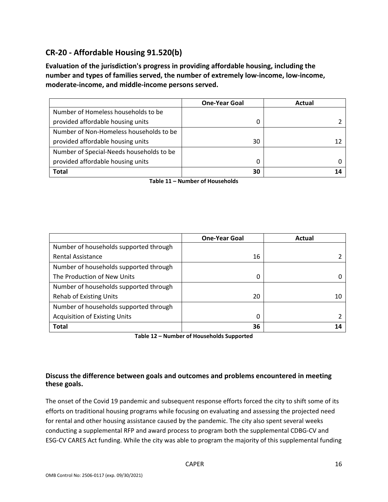# **CR‐20 ‐ Affordable Housing 91.520(b)**

**Evaluation of the jurisdiction's progress in providing affordable housing, including the number and types of families served, the number of extremely low‐income, low‐income, moderate‐income, and middle‐income persons served.** 

|                                          | <b>One-Year Goal</b> | Actual |
|------------------------------------------|----------------------|--------|
| Number of Homeless households to be      |                      |        |
| provided affordable housing units        |                      |        |
| Number of Non-Homeless households to be  |                      |        |
| provided affordable housing units        | 30                   |        |
| Number of Special-Needs households to be |                      |        |
| provided affordable housing units        | 0                    |        |
| <b>Total</b>                             | 30                   |        |

**Table 11 – Number of Households** 

|                                        | <b>One-Year Goal</b> | Actual |
|----------------------------------------|----------------------|--------|
| Number of households supported through |                      |        |
| <b>Rental Assistance</b>               | 16                   |        |
| Number of households supported through |                      |        |
| The Production of New Units            | 0                    |        |
| Number of households supported through |                      |        |
| <b>Rehab of Existing Units</b>         | 20                   | 10     |
| Number of households supported through |                      |        |
| <b>Acquisition of Existing Units</b>   | 0                    |        |
| <b>Total</b>                           | 36                   |        |

**Table 12 – Number of Households Supported** 

# **Discuss the difference between goals and outcomes and problems encountered in meeting these goals.**

The onset of the Covid 19 pandemic and subsequent response efforts forced the city to shift some of its efforts on traditional housing programs while focusing on evaluating and assessing the projected need for rental and other housing assistance caused by the pandemic. The city also spent several weeks conducting a supplemental RFP and award process to program both the supplemental CDBG‐CV and ESG‐CV CARES Act funding. While the city was able to program the majority of this supplemental funding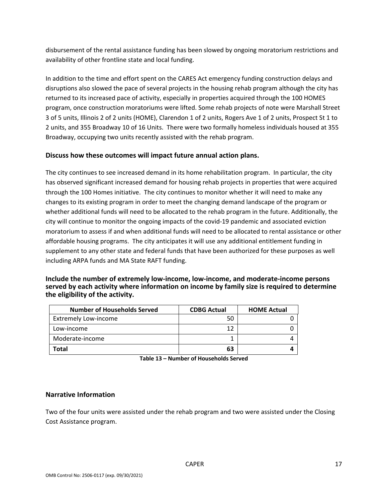disbursement of the rental assistance funding has been slowed by ongoing moratorium restrictions and availability of other frontline state and local funding.

In addition to the time and effort spent on the CARES Act emergency funding construction delays and disruptions also slowed the pace of several projects in the housing rehab program although the city has returned to its increased pace of activity, especially in properties acquired through the 100 HOMES program, once construction moratoriums were lifted. Some rehab projects of note were Marshall Street 3 of 5 units, Illinois 2 of 2 units (HOME), Clarendon 1 of 2 units, Rogers Ave 1 of 2 units, Prospect St 1 to 2 units, and 355 Broadway 10 of 16 Units. There were two formally homeless individuals housed at 355 Broadway, occupying two units recently assisted with the rehab program.

# **Discuss how these outcomes will impact future annual action plans.**

The city continues to see increased demand in its home rehabilitation program. In particular, the city has observed significant increased demand for housing rehab projects in properties that were acquired through the 100 Homes initiative. The city continues to monitor whether it will need to make any changes to its existing program in order to meet the changing demand landscape of the program or whether additional funds will need to be allocated to the rehab program in the future. Additionally, the city will continue to monitor the ongoing impacts of the covid‐19 pandemic and associated eviction moratorium to assess if and when additional funds will need to be allocated to rental assistance or other affordable housing programs. The city anticipates it will use any additional entitlement funding in supplement to any other state and federal funds that have been authorized for these purposes as well including ARPA funds and MA State RAFT funding.

**Include the number of extremely low‐income, low‐income, and moderate‐income persons served by each activity where information on income by family size is required to determine the eligibility of the activity.** 

| <b>Number of Households Served</b> | <b>CDBG Actual</b> | <b>HOME Actual</b> |
|------------------------------------|--------------------|--------------------|
| <b>Extremely Low-income</b>        | 50                 |                    |
| Low-income                         | 12                 |                    |
| Moderate-income                    |                    |                    |
| Total                              | 63                 |                    |

**Table 13 – Number of Households Served** 

#### **Narrative Information**

Two of the four units were assisted under the rehab program and two were assisted under the Closing Cost Assistance program.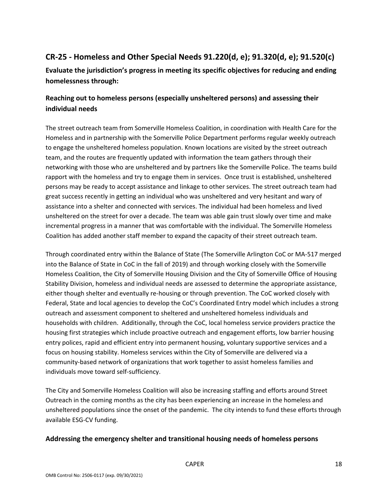# **CR‐25 ‐ Homeless and Other Special Needs 91.220(d, e); 91.320(d, e); 91.520(c)**

**Evaluate the jurisdiction's progress in meeting its specific objectives for reducing and ending homelessness through:** 

# **Reaching out to homeless persons (especially unsheltered persons) and assessing their individual needs**

The street outreach team from Somerville Homeless Coalition, in coordination with Health Care for the Homeless and in partnership with the Somerville Police Department performs regular weekly outreach to engage the unsheltered homeless population. Known locations are visited by the street outreach team, and the routes are frequently updated with information the team gathers through their networking with those who are unsheltered and by partners like the Somerville Police. The teams build rapport with the homeless and try to engage them in services. Once trust is established, unsheltered persons may be ready to accept assistance and linkage to other services. The street outreach team had great success recently in getting an individual who was unsheltered and very hesitant and wary of assistance into a shelter and connected with services. The individual had been homeless and lived unsheltered on the street for over a decade. The team was able gain trust slowly over time and make incremental progress in a manner that was comfortable with the individual. The Somerville Homeless Coalition has added another staff member to expand the capacity of their street outreach team.

Through coordinated entry within the Balance of State (The Somerville Arlington CoC or MA‐517 merged into the Balance of State in CoC in the fall of 2019) and through working closely with the Somerville Homeless Coalition, the City of Somerville Housing Division and the City of Somerville Office of Housing Stability Division, homeless and individual needs are assessed to determine the appropriate assistance, either though shelter and eventually re-housing or through prevention. The CoC worked closely with Federal, State and local agencies to develop the CoC's Coordinated Entry model which includes a strong outreach and assessment component to sheltered and unsheltered homeless individuals and households with children. Additionally, through the CoC, local homeless service providers practice the housing first strategies which include proactive outreach and engagement efforts, low barrier housing entry polices, rapid and efficient entry into permanent housing, voluntary supportive services and a focus on housing stability. Homeless services within the City of Somerville are delivered via a community-based network of organizations that work together to assist homeless families and individuals move toward self‐sufficiency.

The City and Somerville Homeless Coalition will also be increasing staffing and efforts around Street Outreach in the coming months as the city has been experiencing an increase in the homeless and unsheltered populations since the onset of the pandemic. The city intends to fund these efforts through available ESG‐CV funding.

#### **Addressing the emergency shelter and transitional housing needs of homeless persons**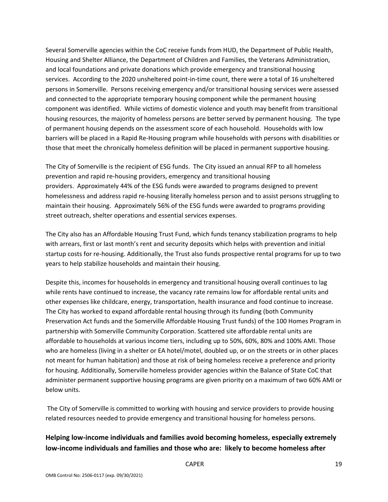Several Somerville agencies within the CoC receive funds from HUD, the Department of Public Health, Housing and Shelter Alliance, the Department of Children and Families, the Veterans Administration, and local foundations and private donations which provide emergency and transitional housing services. According to the 2020 unsheltered point-in-time count, there were a total of 16 unsheltered persons in Somerville. Persons receiving emergency and/or transitional housing services were assessed and connected to the appropriate temporary housing component while the permanent housing component was identified. While victims of domestic violence and youth may benefit from transitional housing resources, the majority of homeless persons are better served by permanent housing. The type of permanent housing depends on the assessment score of each household. Households with low barriers will be placed in a Rapid Re‐Housing program while households with persons with disabilities or those that meet the chronically homeless definition will be placed in permanent supportive housing.

The City of Somerville is the recipient of ESG funds. The City issued an annual RFP to all homeless prevention and rapid re‐housing providers, emergency and transitional housing providers. Approximately 44% of the ESG funds were awarded to programs designed to prevent homelessness and address rapid re‐housing literally homeless person and to assist persons struggling to maintain their housing. Approximately 56% of the ESG funds were awarded to programs providing street outreach, shelter operations and essential services expenses.

The City also has an Affordable Housing Trust Fund, which funds tenancy stabilization programs to help with arrears, first or last month's rent and security deposits which helps with prevention and initial startup costs for re‐housing. Additionally, the Trust also funds prospective rental programs for up to two years to help stabilize households and maintain their housing.

Despite this, incomes for households in emergency and transitional housing overall continues to lag while rents have continued to increase, the vacancy rate remains low for affordable rental units and other expenses like childcare, energy, transportation, health insurance and food continue to increase. The City has worked to expand affordable rental housing through its funding (both Community Preservation Act funds and the Somerville Affordable Housing Trust funds) of the 100 Homes Program in partnership with Somerville Community Corporation. Scattered site affordable rental units are affordable to households at various income tiers, including up to 50%, 60%, 80% and 100% AMI. Those who are homeless (living in a shelter or EA hotel/motel, doubled up, or on the streets or in other places not meant for human habitation) and those at risk of being homeless receive a preference and priority for housing. Additionally, Somerville homeless provider agencies within the Balance of State CoC that administer permanent supportive housing programs are given priority on a maximum of two 60% AMI or below units.

 The City of Somerville is committed to working with housing and service providers to provide housing related resources needed to provide emergency and transitional housing for homeless persons.

# **Helping low‐income individuals and families avoid becoming homeless, especially extremely low‐income individuals and families and those who are: likely to become homeless after**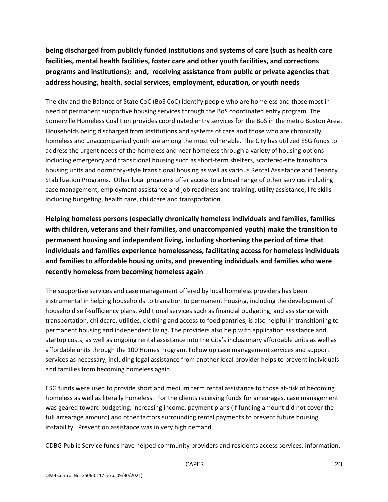**being discharged from publicly funded institutions and systems of care (such as health care facilities, mental health facilities, foster care and other youth facilities, and corrections programs and institutions); and, receiving assistance from public or private agencies that address housing, health, social services, employment, education, or youth needs** 

The city and the Balance of State CoC (BoS CoC) identify people who are homeless and those most in need of permanent supportive housing services through the BoS coordinated entry program. The Somerville Homeless Coalition provides coordinated entry services for the BoS in the metro Boston Area. Households being discharged from institutions and systems of care and those who are chronically homeless and unaccompanied youth are among the most vulnerable. The City has utilized ESG funds to address the urgent needs of the homeless and near homeless through a variety of housing options including emergency and transitional housing such as short-term shelters, scattered-site transitional housing units and dormitory‐style transitional housing as well as various Rental Assistance and Tenancy Stabilization Programs. Other local programs offer access to a broad range of other services including case management, employment assistance and job readiness and training, utility assistance, life skills including budgeting, health care, childcare and transportation.

**Helping homeless persons (especially chronically homeless individuals and families, families with children, veterans and their families, and unaccompanied youth) make the transition to permanent housing and independent living, including shortening the period of time that individuals and families experience homelessness, facilitating access for homeless individuals and families to affordable housing units, and preventing individuals and families who were recently homeless from becoming homeless again** 

The supportive services and case management offered by local homeless providers has been instrumental in helping households to transition to permanent housing, including the development of household self‐sufficiency plans. Additional services such as financial budgeting, and assistance with transportation, childcare, utilities, clothing and access to food pantries, is also helpful in transitioning to permanent housing and independent living. The providers also help with application assistance and startup costs, as well as ongoing rental assistance into the City's inclusionary affordable units as well as affordable units through the 100 Homes Program. Follow up case management services and support services as necessary, including legal assistance from another local provider helps to prevent individuals and families from becoming homeless again.

ESG funds were used to provide short and medium term rental assistance to those at‐risk of becoming homeless as well as literally homeless. For the clients receiving funds for arrearages, case management was geared toward budgeting, increasing income, payment plans (if funding amount did not cover the full arrearage amount) and other factors surrounding rental payments to prevent future housing instability. Prevention assistance was in very high demand.

CDBG Public Service funds have helped community providers and residents access services, information,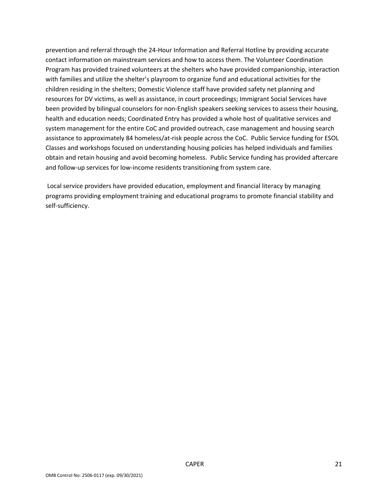prevention and referral through the 24‐Hour Information and Referral Hotline by providing accurate contact information on mainstream services and how to access them. The Volunteer Coordination Program has provided trained volunteers at the shelters who have provided companionship, interaction with families and utilize the shelter's playroom to organize fund and educational activities for the children residing in the shelters; Domestic Violence staff have provided safety net planning and resources for DV victims, as well as assistance, in court proceedings; Immigrant Social Services have been provided by bilingual counselors for non-English speakers seeking services to assess their housing, health and education needs; Coordinated Entry has provided a whole host of qualitative services and system management for the entire CoC and provided outreach, case management and housing search assistance to approximately 84 homeless/at-risk people across the CoC. Public Service funding for ESOL Classes and workshops focused on understanding housing policies has helped individuals and families obtain and retain housing and avoid becoming homeless. Public Service funding has provided aftercare and follow-up services for low-income residents transitioning from system care.

Local service providers have provided education, employment and financial literacy by managing programs providing employment training and educational programs to promote financial stability and self‐sufficiency.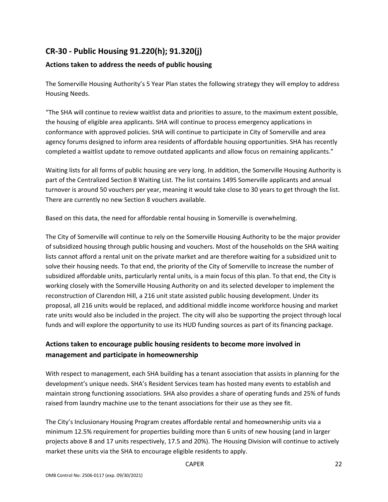# **CR‐30 ‐ Public Housing 91.220(h); 91.320(j)**

# **Actions taken to address the needs of public housing**

The Somerville Housing Authority's 5 Year Plan states the following strategy they will employ to address Housing Needs.

"The SHA will continue to review waitlist data and priorities to assure, to the maximum extent possible, the housing of eligible area applicants. SHA will continue to process emergency applications in conformance with approved policies. SHA will continue to participate in City of Somerville and area agency forums designed to inform area residents of affordable housing opportunities. SHA has recently completed a waitlist update to remove outdated applicants and allow focus on remaining applicants."

Waiting lists for all forms of public housing are very long. In addition, the Somerville Housing Authority is part of the Centralized Section 8 Waiting List. The list contains 1495 Somerville applicants and annual turnover is around 50 vouchers per year, meaning it would take close to 30 years to get through the list. There are currently no new Section 8 vouchers available.

Based on this data, the need for affordable rental housing in Somerville is overwhelming.

The City of Somerville will continue to rely on the Somerville Housing Authority to be the major provider of subsidized housing through public housing and vouchers. Most of the households on the SHA waiting lists cannot afford a rental unit on the private market and are therefore waiting for a subsidized unit to solve their housing needs. To that end, the priority of the City of Somerville to increase the number of subsidized affordable units, particularly rental units, is a main focus of this plan. To that end, the City is working closely with the Somerville Housing Authority on and its selected developer to implement the reconstruction of Clarendon Hill, a 216 unit state assisted public housing development. Under its proposal, all 216 units would be replaced, and additional middle income workforce housing and market rate units would also be included in the project. The city will also be supporting the project through local funds and will explore the opportunity to use its HUD funding sources as part of its financing package.

# **Actions taken to encourage public housing residents to become more involved in management and participate in homeownership**

With respect to management, each SHA building has a tenant association that assists in planning for the development's unique needs. SHA's Resident Services team has hosted many events to establish and maintain strong functioning associations. SHA also provides a share of operating funds and 25% of funds raised from laundry machine use to the tenant associations for their use as they see fit.

The City's Inclusionary Housing Program creates affordable rental and homeownership units via a minimum 12.5% requirement for properties building more than 6 units of new housing (and in larger projects above 8 and 17 units respectively, 17.5 and 20%). The Housing Division will continue to actively market these units via the SHA to encourage eligible residents to apply.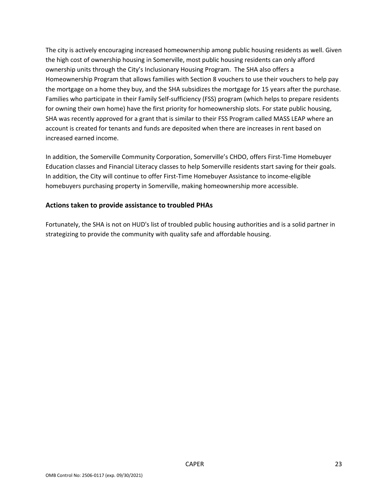The city is actively encouraging increased homeownership among public housing residents as well. Given the high cost of ownership housing in Somerville, most public housing residents can only afford ownership units through the City's Inclusionary Housing Program. The SHA also offers a Homeownership Program that allows families with Section 8 vouchers to use their vouchers to help pay the mortgage on a home they buy, and the SHA subsidizes the mortgage for 15 years after the purchase. Families who participate in their Family Self‐sufficiency (FSS) program (which helps to prepare residents for owning their own home) have the first priority for homeownership slots. For state public housing, SHA was recently approved for a grant that is similar to their FSS Program called MASS LEAP where an account is created for tenants and funds are deposited when there are increases in rent based on increased earned income.

In addition, the Somerville Community Corporation, Somerville's CHDO, offers First‐Time Homebuyer Education classes and Financial Literacy classes to help Somerville residents start saving for their goals. In addition, the City will continue to offer First-Time Homebuyer Assistance to income-eligible homebuyers purchasing property in Somerville, making homeownership more accessible.

#### **Actions taken to provide assistance to troubled PHAs**

Fortunately, the SHA is not on HUD's list of troubled public housing authorities and is a solid partner in strategizing to provide the community with quality safe and affordable housing.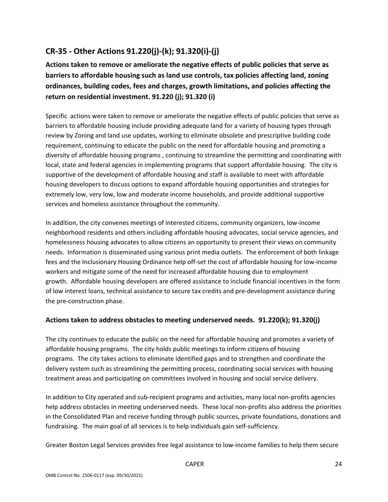# **CR‐35 ‐ Other Actions 91.220(j)‐(k); 91.320(i)‐(j)**

**Actions taken to remove or ameliorate the negative effects of public policies that serve as barriers to affordable housing such as land use controls, tax policies affecting land, zoning ordinances, building codes, fees and charges, growth limitations, and policies affecting the return on residential investment. 91.220 (j); 91.320 (i)** 

Specific actions were taken to remove or ameliorate the negative effects of public policies that serve as barriers to affordable housing include providing adequate land for a variety of housing types through review by Zoning and land use updates, working to eliminate obsolete and prescriptive building code requirement, continuing to educate the public on the need for affordable housing and promoting a diversity of affordable housing programs , continuing to streamline the permitting and coordinating with local, state and federal agencies in implementing programs that support affordable housing. The city is supportive of the development of affordable housing and staff is available to meet with affordable housing developers to discuss options to expand affordable housing opportunities and strategies for extremely low, very low, low and moderate income households, and provide additional supportive services and homeless assistance throughout the community.

In addition, the city convenes meetings of interested citizens, community organizers, low‐income neighborhood residents and others including affordable housing advocates, social service agencies, and homelessness housing advocates to allow citizens an opportunity to present their views on community needs. Information is disseminated using various print media outlets. The enforcement of both linkage fees and the Inclusionary Housing Ordinance help off‐set the cost of affordable housing for low‐income workers and mitigate some of the need for increased affordable housing due to employment growth. Affordable housing developers are offered assistance to include financial incentives in the form of low interest loans, technical assistance to secure tax credits and pre‐development assistance during the pre‐construction phase.

#### **Actions taken to address obstacles to meeting underserved needs. 91.220(k); 91.320(j)**

The city continues to educate the public on the need for affordable housing and promotes a variety of affordable housing programs. The city holds public meetings to inform citizens of housing programs. The city takes actions to eliminate identified gaps and to strengthen and coordinate the delivery system such as streamlining the permitting process, coordinating social services with housing treatment areas and participating on committees involved in housing and social service delivery.

In addition to City operated and sub-recipient programs and activities, many local non-profits agencies help address obstacles in meeting underserved needs. These local non-profits also address the priorities in the Consolidated Plan and receive funding through public sources, private foundations, donations and fundraising. The main goal of all services is to help individuals gain self‐sufficiency.

Greater Boston Legal Services provides free legal assistance to low‐income families to help them secure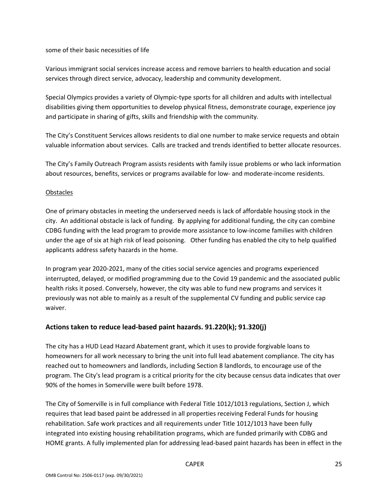some of their basic necessities of life

Various immigrant social services increase access and remove barriers to health education and social services through direct service, advocacy, leadership and community development.

Special Olympics provides a variety of Olympic‐type sports for all children and adults with intellectual disabilities giving them opportunities to develop physical fitness, demonstrate courage, experience joy and participate in sharing of gifts, skills and friendship with the community.

The City's Constituent Services allows residents to dial one number to make service requests and obtain valuable information about services. Calls are tracked and trends identified to better allocate resources.

The City's Family Outreach Program assists residents with family issue problems or who lack information about resources, benefits, services or programs available for low‐ and moderate‐income residents.

#### **Obstacles**

One of primary obstacles in meeting the underserved needs is lack of affordable housing stock in the city. An additional obstacle is lack of funding. By applying for additional funding, the city can combine CDBG funding with the lead program to provide more assistance to low‐income families with children under the age of six at high risk of lead poisoning. Other funding has enabled the city to help qualified applicants address safety hazards in the home.

In program year 2020‐2021, many of the cities social service agencies and programs experienced interrupted, delayed, or modified programming due to the Covid 19 pandemic and the associated public health risks it posed. Conversely, however, the city was able to fund new programs and services it previously was not able to mainly as a result of the supplemental CV funding and public service cap waiver.

#### **Actions taken to reduce lead‐based paint hazards. 91.220(k); 91.320(j)**

The city has a HUD Lead Hazard Abatement grant, which it uses to provide forgivable loans to homeowners for all work necessary to bring the unit into full lead abatement compliance. The city has reached out to homeowners and landlords, including Section 8 landlords, to encourage use of the program. The City's lead program is a critical priority for the city because census data indicates that over 90% of the homes in Somerville were built before 1978.

The City of Somerville is in full compliance with Federal Title 1012/1013 regulations, Section J, which requires that lead based paint be addressed in all properties receiving Federal Funds for housing rehabilitation. Safe work practices and all requirements under Title 1012/1013 have been fully integrated into existing housing rehabilitation programs, which are funded primarily with CDBG and HOME grants. A fully implemented plan for addressing lead‐based paint hazards has been in effect in the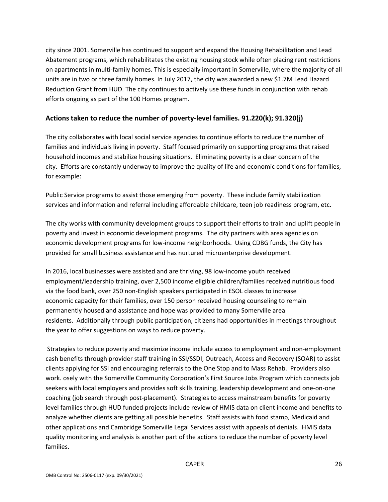city since 2001. Somerville has continued to support and expand the Housing Rehabilitation and Lead Abatement programs, which rehabilitates the existing housing stock while often placing rent restrictions on apartments in multi‐family homes. This is especially important in Somerville, where the majority of all units are in two or three family homes. In July 2017, the city was awarded a new \$1.7M Lead Hazard Reduction Grant from HUD. The city continues to actively use these funds in conjunction with rehab efforts ongoing as part of the 100 Homes program.

#### **Actions taken to reduce the number of poverty‐level families. 91.220(k); 91.320(j)**

The city collaborates with local social service agencies to continue efforts to reduce the number of families and individuals living in poverty. Staff focused primarily on supporting programs that raised household incomes and stabilize housing situations. Eliminating poverty is a clear concern of the city. Efforts are constantly underway to improve the quality of life and economic conditions for families, for example:

Public Service programs to assist those emerging from poverty. These include family stabilization services and information and referral including affordable childcare, teen job readiness program, etc.

The city works with community development groups to support their efforts to train and uplift people in poverty and invest in economic development programs. The city partners with area agencies on economic development programs for low‐income neighborhoods. Using CDBG funds, the City has provided for small business assistance and has nurtured microenterprise development.

In 2016, local businesses were assisted and are thriving, 98 low-income youth received employment/leadership training, over 2,500 income eligible children/families received nutritious food via the food bank, over 250 non‐English speakers participated in ESOL classes to increase economic capacity for their families, over 150 person received housing counseling to remain permanently housed and assistance and hope was provided to many Somerville area residents. Additionally through public participation, citizens had opportunities in meetings throughout the year to offer suggestions on ways to reduce poverty.

 Strategies to reduce poverty and maximize income include access to employment and non‐employment cash benefits through provider staff training in SSI/SSDI, Outreach, Access and Recovery (SOAR) to assist clients applying for SSI and encouraging referrals to the One Stop and to Mass Rehab. Providers also work. osely with the Somerville Community Corporation's First Source Jobs Program which connects job seekers with local employers and provides soft skills training, leadership development and one‐on‐one coaching (job search through post‐placement). Strategies to access mainstream benefits for poverty level families through HUD funded projects include review of HMIS data on client income and benefits to analyze whether clients are getting all possible benefits. Staff assists with food stamp, Medicaid and other applications and Cambridge Somerville Legal Services assist with appeals of denials. HMIS data quality monitoring and analysis is another part of the actions to reduce the number of poverty level families.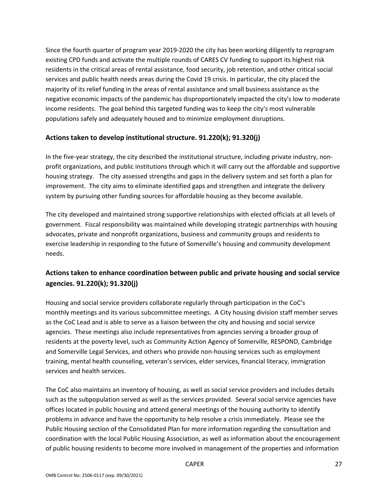Since the fourth quarter of program year 2019‐2020 the city has been working diligently to reprogram existing CPD funds and activate the multiple rounds of CARES CV funding to support its highest risk residents in the critical areas of rental assistance, food security, job retention, and other critical social services and public health needs areas during the Covid 19 crisis. In particular, the city placed the majority of its relief funding in the areas of rental assistance and small business assistance as the negative economic impacts of the pandemic has disproportionately impacted the city's low to moderate income residents. The goal behind this targeted funding was to keep the city's most vulnerable populations safely and adequately housed and to minimize employment disruptions.

#### **Actions taken to develop institutional structure. 91.220(k); 91.320(j)**

In the five-year strategy, the city described the institutional structure, including private industry, nonprofit organizations, and public institutions through which it will carry out the affordable and supportive housing strategy. The city assessed strengths and gaps in the delivery system and set forth a plan for improvement. The city aims to eliminate identified gaps and strengthen and integrate the delivery system by pursuing other funding sources for affordable housing as they become available.

The city developed and maintained strong supportive relationships with elected officials at all levels of government. Fiscal responsibility was maintained while developing strategic partnerships with housing advocates, private and nonprofit organizations, business and community groups and residents to exercise leadership in responding to the future of Somerville's housing and community development needs.

# **Actions taken to enhance coordination between public and private housing and social service agencies. 91.220(k); 91.320(j)**

Housing and social service providers collaborate regularly through participation in the CoC's monthly meetings and its various subcommittee meetings. A City housing division staff member serves as the CoC Lead and is able to serve as a liaison between the city and housing and social service agencies. These meetings also include representatives from agencies serving a broader group of residents at the poverty level, such as Community Action Agency of Somerville, RESPOND, Cambridge and Somerville Legal Services, and others who provide non-housing services such as employment training, mental health counseling, veteran's services, elder services, financial literacy, immigration services and health services.

The CoC also maintains an inventory of housing, as well as social service providers and includes details such as the subpopulation served as well as the services provided. Several social service agencies have offices located in public housing and attend general meetings of the housing authority to identify problems in advance and have the opportunity to help resolve a crisis immediately. Please see the Public Housing section of the Consolidated Plan for more information regarding the consultation and coordination with the local Public Housing Association, as well as information about the encouragement of public housing residents to become more involved in management of the properties and information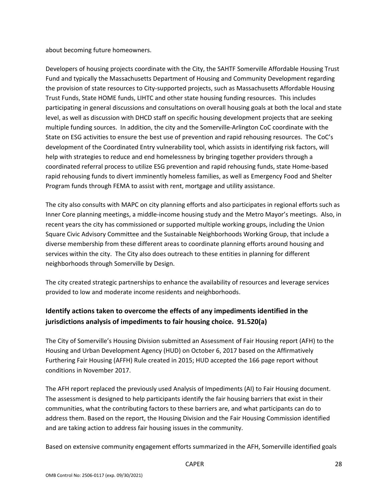about becoming future homeowners.

Developers of housing projects coordinate with the City, the SAHTF Somerville Affordable Housing Trust Fund and typically the Massachusetts Department of Housing and Community Development regarding the provision of state resources to City‐supported projects, such as Massachusetts Affordable Housing Trust Funds, State HOME funds, LIHTC and other state housing funding resources. This includes participating in general discussions and consultations on overall housing goals at both the local and state level, as well as discussion with DHCD staff on specific housing development projects that are seeking multiple funding sources. In addition, the city and the Somerville‐Arlington CoC coordinate with the State on ESG activities to ensure the best use of prevention and rapid rehousing resources. The CoC's development of the Coordinated Entry vulnerability tool, which assists in identifying risk factors, will help with strategies to reduce and end homelessness by bringing together providers through a coordinated referral process to utilize ESG prevention and rapid rehousing funds, state Home‐based rapid rehousing funds to divert imminently homeless families, as well as Emergency Food and Shelter Program funds through FEMA to assist with rent, mortgage and utility assistance.

The city also consults with MAPC on city planning efforts and also participates in regional efforts such as Inner Core planning meetings, a middle-income housing study and the Metro Mayor's meetings. Also, in recent years the city has commissioned or supported multiple working groups, including the Union Square Civic Advisory Committee and the Sustainable Neighborhoods Working Group, that include a diverse membership from these different areas to coordinate planning efforts around housing and services within the city. The City also does outreach to these entities in planning for different neighborhoods through Somerville by Design.

The city created strategic partnerships to enhance the availability of resources and leverage services provided to low and moderate income residents and neighborhoods.

# **Identify actions taken to overcome the effects of any impediments identified in the jurisdictions analysis of impediments to fair housing choice. 91.520(a)**

The City of Somerville's Housing Division submitted an Assessment of Fair Housing report (AFH) to the Housing and Urban Development Agency (HUD) on October 6, 2017 based on the Affirmatively Furthering Fair Housing (AFFH) Rule created in 2015; HUD accepted the 166 page report without conditions in November 2017.

The AFH report replaced the previously used Analysis of Impediments (AI) to Fair Housing document. The assessment is designed to help participants identify the fair housing barriers that exist in their communities, what the contributing factors to these barriers are, and what participants can do to address them. Based on the report, the Housing Division and the Fair Housing Commission identified and are taking action to address fair housing issues in the community.

Based on extensive community engagement efforts summarized in the AFH, Somerville identified goals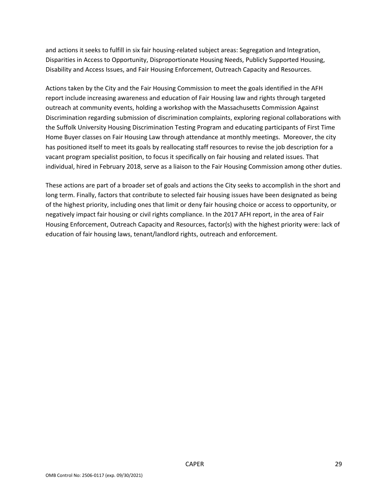and actions it seeks to fulfill in six fair housing‐related subject areas: Segregation and Integration, Disparities in Access to Opportunity, Disproportionate Housing Needs, Publicly Supported Housing, Disability and Access Issues, and Fair Housing Enforcement, Outreach Capacity and Resources.

Actions taken by the City and the Fair Housing Commission to meet the goals identified in the AFH report include increasing awareness and education of Fair Housing law and rights through targeted outreach at community events, holding a workshop with the Massachusetts Commission Against Discrimination regarding submission of discrimination complaints, exploring regional collaborations with the Suffolk University Housing Discrimination Testing Program and educating participants of First Time Home Buyer classes on Fair Housing Law through attendance at monthly meetings. Moreover, the city has positioned itself to meet its goals by reallocating staff resources to revise the job description for a vacant program specialist position, to focus it specifically on fair housing and related issues. That individual, hired in February 2018, serve as a liaison to the Fair Housing Commission among other duties.

These actions are part of a broader set of goals and actions the City seeks to accomplish in the short and long term. Finally, factors that contribute to selected fair housing issues have been designated as being of the highest priority, including ones that limit or deny fair housing choice or access to opportunity, or negatively impact fair housing or civil rights compliance. In the 2017 AFH report, in the area of Fair Housing Enforcement, Outreach Capacity and Resources, factor(s) with the highest priority were: lack of education of fair housing laws, tenant/landlord rights, outreach and enforcement.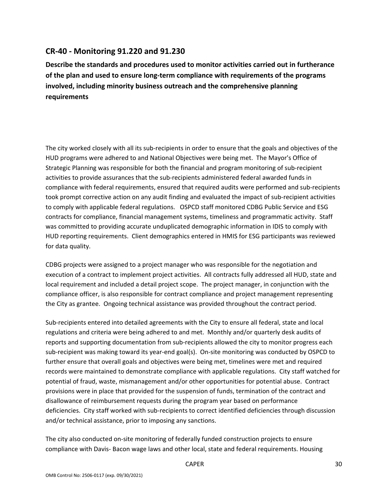# **CR‐40 ‐ Monitoring 91.220 and 91.230**

**Describe the standards and procedures used to monitor activities carried out in furtherance of the plan and used to ensure long‐term compliance with requirements of the programs involved, including minority business outreach and the comprehensive planning requirements** 

The city worked closely with all its sub‐recipients in order to ensure that the goals and objectives of the HUD programs were adhered to and National Objectives were being met. The Mayor's Office of Strategic Planning was responsible for both the financial and program monitoring of sub‐recipient activities to provide assurances that the sub-recipients administered federal awarded funds in compliance with federal requirements, ensured that required audits were performed and sub-recipients took prompt corrective action on any audit finding and evaluated the impact of sub‐recipient activities to comply with applicable federal regulations. OSPCD staff monitored CDBG Public Service and ESG contracts for compliance, financial management systems, timeliness and programmatic activity. Staff was committed to providing accurate unduplicated demographic information in IDIS to comply with HUD reporting requirements. Client demographics entered in HMIS for ESG participants was reviewed for data quality.

CDBG projects were assigned to a project manager who was responsible for the negotiation and execution of a contract to implement project activities. All contracts fully addressed all HUD, state and local requirement and included a detail project scope. The project manager, in conjunction with the compliance officer, is also responsible for contract compliance and project management representing the City as grantee. Ongoing technical assistance was provided throughout the contract period.

Sub‐recipients entered into detailed agreements with the City to ensure all federal, state and local regulations and criteria were being adhered to and met. Monthly and/or quarterly desk audits of reports and supporting documentation from sub-recipients allowed the city to monitor progress each sub-recipient was making toward its year-end goal(s). On-site monitoring was conducted by OSPCD to further ensure that overall goals and objectives were being met, timelines were met and required records were maintained to demonstrate compliance with applicable regulations. City staff watched for potential of fraud, waste, mismanagement and/or other opportunities for potential abuse. Contract provisions were in place that provided for the suspension of funds, termination of the contract and disallowance of reimbursement requests during the program year based on performance deficiencies. City staff worked with sub‐recipients to correct identified deficiencies through discussion and/or technical assistance, prior to imposing any sanctions.

The city also conducted on‐site monitoring of federally funded construction projects to ensure compliance with Davis‐ Bacon wage laws and other local, state and federal requirements. Housing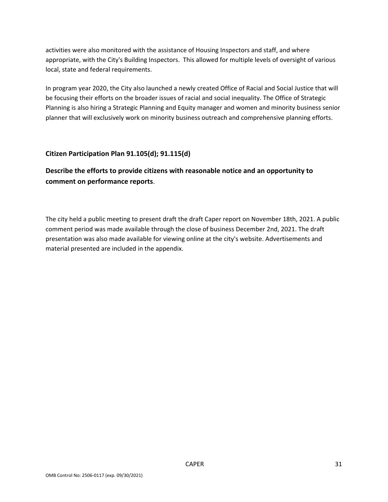activities were also monitored with the assistance of Housing Inspectors and staff, and where appropriate, with the City's Building Inspectors. This allowed for multiple levels of oversight of various local, state and federal requirements.

In program year 2020, the City also launched a newly created Office of Racial and Social Justice that will be focusing their efforts on the broader issues of racial and social inequality. The Office of Strategic Planning is also hiring a Strategic Planning and Equity manager and women and minority business senior planner that will exclusively work on minority business outreach and comprehensive planning efforts.

#### **Citizen Participation Plan 91.105(d); 91.115(d)**

**Describe the efforts to provide citizens with reasonable notice and an opportunity to comment on performance reports**.

The city held a public meeting to present draft the draft Caper report on November 18th, 2021. A public comment period was made available through the close of business December 2nd, 2021. The draft presentation was also made available for viewing online at the city's website. Advertisements and material presented are included in the appendix.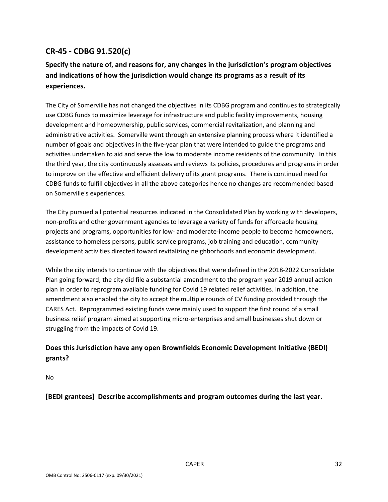# **CR‐45 ‐ CDBG 91.520(c)**

# **Specify the nature of, and reasons for, any changes in the jurisdiction's program objectives and indications of how the jurisdiction would change its programs as a result of its experiences.**

The City of Somerville has not changed the objectives in its CDBG program and continues to strategically use CDBG funds to maximize leverage for infrastructure and public facility improvements, housing development and homeownership, public services, commercial revitalization, and planning and administrative activities. Somerville went through an extensive planning process where it identified a number of goals and objectives in the five-year plan that were intended to guide the programs and activities undertaken to aid and serve the low to moderate income residents of the community. In this the third year, the city continuously assesses and reviews its policies, procedures and programs in order to improve on the effective and efficient delivery of its grant programs. There is continued need for CDBG funds to fulfill objectives in all the above categories hence no changes are recommended based on Somerville's experiences.

The City pursued all potential resources indicated in the Consolidated Plan by working with developers, non‐profits and other government agencies to leverage a variety of funds for affordable housing projects and programs, opportunities for low‐ and moderate‐income people to become homeowners, assistance to homeless persons, public service programs, job training and education, community development activities directed toward revitalizing neighborhoods and economic development.

While the city intends to continue with the objectives that were defined in the 2018‐2022 Consolidate Plan going forward; the city did file a substantial amendment to the program year 2019 annual action plan in order to reprogram available funding for Covid 19 related relief activities. In addition, the amendment also enabled the city to accept the multiple rounds of CV funding provided through the CARES Act. Reprogrammed existing funds were mainly used to support the first round of a small business relief program aimed at supporting micro‐enterprises and small businesses shut down or struggling from the impacts of Covid 19.

# **Does this Jurisdiction have any open Brownfields Economic Development Initiative (BEDI) grants?**

No

**[BEDI grantees] Describe accomplishments and program outcomes during the last year.**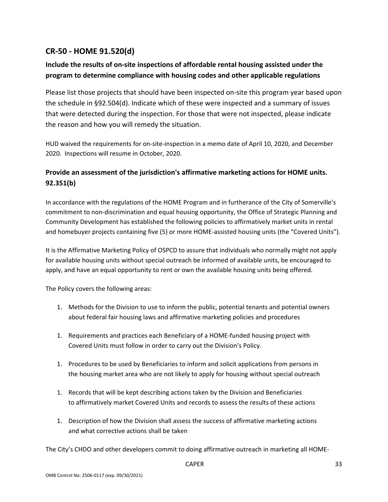# **CR‐50 ‐ HOME 91.520(d)**

# **Include the results of on‐site inspections of affordable rental housing assisted under the program to determine compliance with housing codes and other applicable regulations**

Please list those projects that should have been inspected on‐site this program year based upon the schedule in §92.504(d). Indicate which of these were inspected and a summary of issues that were detected during the inspection. For those that were not inspected, please indicate the reason and how you will remedy the situation.

HUD waived the requirements for on‐site‐inspection in a memo date of April 10, 2020, and December 2020. Inspections will resume in October, 2020.

# **Provide an assessment of the jurisdiction's affirmative marketing actions for HOME units. 92.351(b)**

In accordance with the regulations of the HOME Program and in furtherance of the City of Somerville's commitment to non‐discrimination and equal housing opportunity, the Office of Strategic Planning and Community Development has established the following policies to affirmatively market units in rental and homebuyer projects containing five (5) or more HOME‐assisted housing units (the "Covered Units").

It is the Affirmative Marketing Policy of OSPCD to assure that individuals who normally might not apply for available housing units without special outreach be informed of available units, be encouraged to apply, and have an equal opportunity to rent or own the available housing units being offered.

The Policy covers the following areas:

- 1. Methods for the Division to use to inform the public, potential tenants and potential owners about federal fair housing laws and affirmative marketing policies and procedures
- 1. Requirements and practices each Beneficiary of a HOME‐funded housing project with Covered Units must follow in order to carry out the Division's Policy.
- 1. Procedures to be used by Beneficiaries to inform and solicit applications from persons in the housing market area who are not likely to apply for housing without special outreach
- 1. Records that will be kept describing actions taken by the Division and Beneficiaries to affirmatively market Covered Units and records to assess the results of these actions
- 1. Description of how the Division shall assess the success of affirmative marketing actions and what corrective actions shall be taken

The City's CHDO and other developers commit to doing affirmative outreach in marketing all HOME‐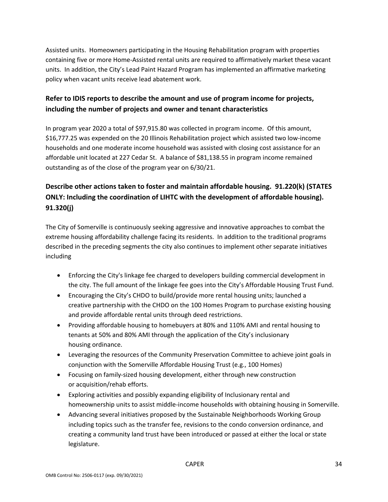Assisted units. Homeowners participating in the Housing Rehabilitation program with properties containing five or more Home‐Assisted rental units are required to affirmatively market these vacant units. In addition, the City's Lead Paint Hazard Program has implemented an affirmative marketing policy when vacant units receive lead abatement work.

# **Refer to IDIS reports to describe the amount and use of program income for projects, including the number of projects and owner and tenant characteristics**

In program year 2020 a total of \$97,915.80 was collected in program income. Of this amount, \$16,777.25 was expended on the 20 Illinois Rehabilitation project which assisted two low‐income households and one moderate income household was assisted with closing cost assistance for an affordable unit located at 227 Cedar St. A balance of \$81,138.55 in program income remained outstanding as of the close of the program year on 6/30/21.

# **Describe other actions taken to foster and maintain affordable housing. 91.220(k) (STATES ONLY: Including the coordination of LIHTC with the development of affordable housing). 91.320(j)**

The City of Somerville is continuously seeking aggressive and innovative approaches to combat the extreme housing affordability challenge facing its residents. In addition to the traditional programs described in the preceding segments the city also continues to implement other separate initiatives including

- Enforcing the City's linkage fee charged to developers building commercial development in the city. The full amount of the linkage fee goes into the City's Affordable Housing Trust Fund.
- Encouraging the City's CHDO to build/provide more rental housing units; launched a creative partnership with the CHDO on the 100 Homes Program to purchase existing housing and provide affordable rental units through deed restrictions.
- Providing affordable housing to homebuyers at 80% and 110% AMI and rental housing to tenants at 50% and 80% AMI through the application of the City's inclusionary housing ordinance.
- Leveraging the resources of the Community Preservation Committee to achieve joint goals in conjunction with the Somerville Affordable Housing Trust (e.g., 100 Homes)
- Focusing on family‐sized housing development, either through new construction or acquisition/rehab efforts.
- Exploring activities and possibly expanding eligibility of Inclusionary rental and homeownership units to assist middle‐income households with obtaining housing in Somerville.
- Advancing several initiatives proposed by the Sustainable Neighborhoods Working Group including topics such as the transfer fee, revisions to the condo conversion ordinance, and creating a community land trust have been introduced or passed at either the local or state legislature.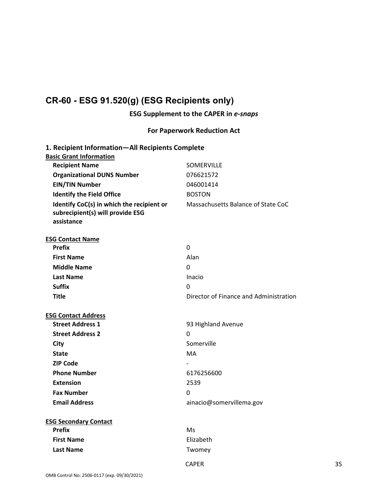# **CR-60 - ESG 91.520(g) (ESG Recipients only)**

# **ESG Supplement to the CAPER in** *e‐snaps*

# **For Paperwork Reduction Act**

| 1. Recipient Information-All Recipients Complete |                                        |
|--------------------------------------------------|----------------------------------------|
| <b>Basic Grant Information</b>                   |                                        |
| <b>Recipient Name</b>                            | <b>SOMERVILLE</b>                      |
| <b>Organizational DUNS Number</b>                | 076621572                              |
| <b>EIN/TIN Number</b>                            | 046001414                              |
| <b>Identify the Field Office</b>                 | <b>BOSTON</b>                          |
| Identify CoC(s) in which the recipient or        | Massachusetts Balance of State CoC     |
| subrecipient(s) will provide ESG                 |                                        |
| assistance                                       |                                        |
| <b>ESG Contact Name</b>                          |                                        |
| <b>Prefix</b>                                    | 0                                      |
| <b>First Name</b>                                | Alan                                   |
| <b>Middle Name</b>                               | 0                                      |
| <b>Last Name</b>                                 | Inacio                                 |
| <b>Suffix</b>                                    | 0                                      |
| <b>Title</b>                                     | Director of Finance and Administration |
|                                                  |                                        |
| <b>ESG Contact Address</b>                       |                                        |
| <b>Street Address 1</b>                          | 93 Highland Avenue                     |
| <b>Street Address 2</b>                          | $\Omega$                               |
| City                                             | Somerville                             |
| <b>State</b>                                     | <b>MA</b>                              |
| <b>ZIP Code</b>                                  |                                        |
| <b>Phone Number</b>                              | 6176256600                             |
| <b>Extension</b>                                 | 2539                                   |
| <b>Fax Number</b>                                | 0                                      |
| <b>Email Address</b>                             | ainacio@somervillema.gov               |
|                                                  |                                        |
| <b>ESG Secondary Contact</b>                     |                                        |
| <b>Prefix</b>                                    | Ms                                     |
| <b>First Name</b>                                | Elizabeth                              |
| <b>Last Name</b>                                 | Twomey                                 |
|                                                  |                                        |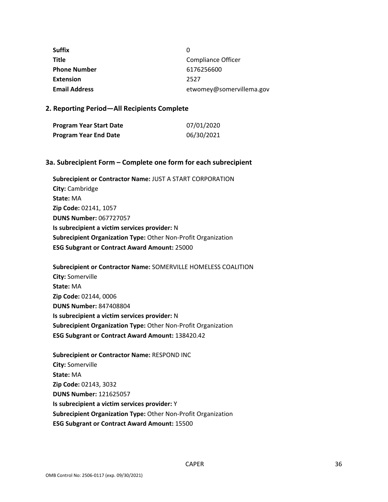| <b>Suffix</b>        | 0                        |
|----------------------|--------------------------|
| <b>Title</b>         | Compliance Officer       |
| <b>Phone Number</b>  | 6176256600               |
| <b>Extension</b>     | 2527                     |
| <b>Email Address</b> | etwomey@somervillema.gov |

#### **2. Reporting Period—All Recipients Complete**

| Program Year Start Date | 07/01/2020 |
|-------------------------|------------|
| Program Year End Date   | 06/30/2021 |

#### **3a. Subrecipient Form – Complete one form for each subrecipient**

**Subrecipient or Contractor Name:** JUST A START CORPORATION **City:** Cambridge **State:** MA **Zip Code:** 02141, 1057 **DUNS Number:** 067727057 **Is subrecipient a victim services provider:** N **Subrecipient Organization Type:** Other Non‐Profit Organization **ESG Subgrant or Contract Award Amount:** 25000

**Subrecipient or Contractor Name:** SOMERVILLE HOMELESS COALITION **City:** Somerville **State:** MA **Zip Code:** 02144, 0006 **DUNS Number:** 847408804 **Is subrecipient a victim services provider:** N **Subrecipient Organization Type:** Other Non‐Profit Organization **ESG Subgrant or Contract Award Amount:** 138420.42

**Subrecipient or Contractor Name:** RESPOND INC **City:** Somerville **State:** MA **Zip Code:** 02143, 3032 **DUNS Number:** 121625057 **Is subrecipient a victim services provider:** Y **Subrecipient Organization Type:** Other Non‐Profit Organization **ESG Subgrant or Contract Award Amount:** 15500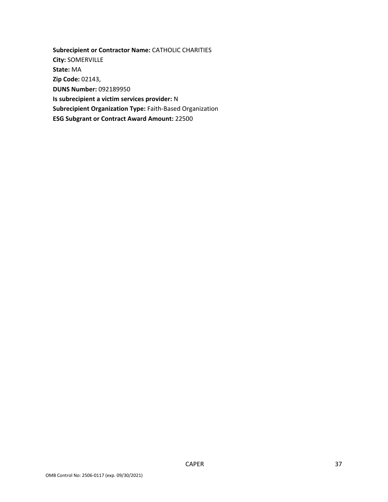**Subrecipient or Contractor Name:** CATHOLIC CHARITIES **City:** SOMERVILLE **State:** MA **Zip Code:** 02143, **DUNS Number:** 092189950 **Is subrecipient a victim services provider:** N **Subrecipient Organization Type:** Faith‐Based Organization **ESG Subgrant or Contract Award Amount:** 22500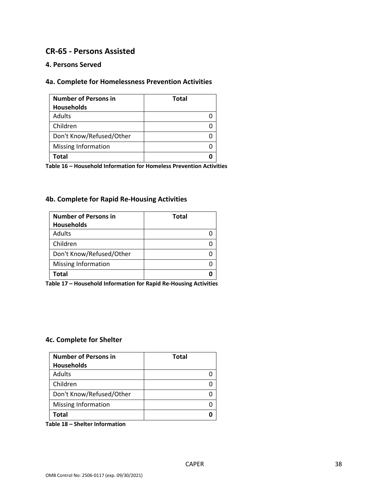# **CR‐65 ‐ Persons Assisted**

#### **4. Persons Served**

# **4a. Complete for Homelessness Prevention Activities**

| <b>Number of Persons in</b> | <b>Total</b> |
|-----------------------------|--------------|
| Households                  |              |
| Adults                      |              |
| Children                    |              |
| Don't Know/Refused/Other    |              |
| Missing Information         |              |
| Total                       |              |

**Table 16 – Household Information for Homeless Prevention Activities** 

# **4b. Complete for Rapid Re‐Housing Activities**

| <b>Number of Persons in</b> | <b>Total</b> |
|-----------------------------|--------------|
| <b>Households</b>           |              |
| Adults                      |              |
| Children                    |              |
| Don't Know/Refused/Other    |              |
| <b>Missing Information</b>  |              |
| Total                       |              |

**Table 17 – Household Information for Rapid Re‐Housing Activities** 

#### **4c. Complete for Shelter**

| <b>Number of Persons in</b><br><b>Households</b> | <b>Total</b> |
|--------------------------------------------------|--------------|
| Adults                                           |              |
| Children                                         |              |
| Don't Know/Refused/Other                         |              |
| Missing Information                              |              |
| Total                                            |              |

**Table 18 – Shelter Information**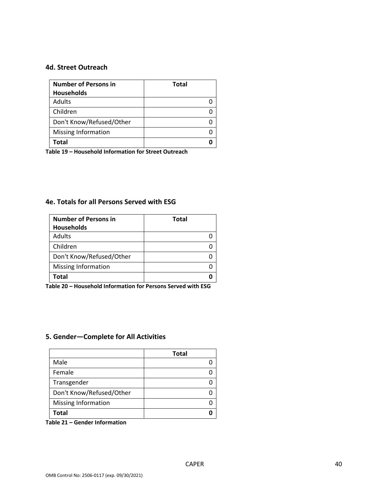#### **4d. Street Outreach**

| <b>Number of Persons in</b> | <b>Total</b> |
|-----------------------------|--------------|
| <b>Households</b>           |              |
| Adults                      |              |
| Children                    |              |
| Don't Know/Refused/Other    |              |
| <b>Missing Information</b>  |              |
| Total                       |              |

**Table 19 – Household Information for Street Outreach** 

#### **4e. Totals for all Persons Served with ESG**

| <b>Number of Persons in</b> | <b>Total</b> |
|-----------------------------|--------------|
| <b>Households</b>           |              |
| Adults                      |              |
| Children                    |              |
| Don't Know/Refused/Other    |              |
| Missing Information         |              |
| Total                       |              |

**Table 20 – Household Information for Persons Served with ESG** 

# **5. Gender—Complete for All Activities**

|                            | <b>Total</b> |
|----------------------------|--------------|
| Male                       |              |
| Female                     |              |
| Transgender                |              |
| Don't Know/Refused/Other   |              |
| <b>Missing Information</b> |              |
| Total                      |              |

**Table 21 – Gender Information**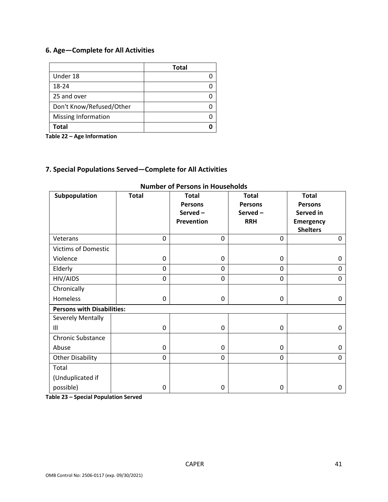# **6. Age—Complete for All Activities**

|                            | <b>Total</b> |
|----------------------------|--------------|
| Under 18                   |              |
| 18-24                      |              |
| 25 and over                |              |
| Don't Know/Refused/Other   |              |
| <b>Missing Information</b> |              |
| Total                      |              |

**Table 22 – Age Information** 

# **7. Special Populations Served—Complete for All Activities**

| Subpopulation                     | <b>Total</b>   | <b>Total</b><br><b>Persons</b><br>Served-<br><b>Prevention</b> | <b>Total</b><br><b>Persons</b><br>Served-<br><b>RRH</b> | <b>Total</b><br><b>Persons</b><br>Served in<br><b>Emergency</b><br><b>Shelters</b> |
|-----------------------------------|----------------|----------------------------------------------------------------|---------------------------------------------------------|------------------------------------------------------------------------------------|
| Veterans                          | $\overline{0}$ | 0                                                              | 0                                                       | 0                                                                                  |
| <b>Victims of Domestic</b>        |                |                                                                |                                                         |                                                                                    |
| Violence                          | 0              | 0                                                              | 0                                                       | 0                                                                                  |
| Elderly                           | 0              | 0                                                              | 0                                                       | 0                                                                                  |
| HIV/AIDS                          | 0              | 0                                                              | 0                                                       | 0                                                                                  |
| Chronically                       |                |                                                                |                                                         |                                                                                    |
| Homeless                          | 0              | 0                                                              | 0                                                       | 0                                                                                  |
| <b>Persons with Disabilities:</b> |                |                                                                |                                                         |                                                                                    |
| Severely Mentally                 |                |                                                                |                                                         |                                                                                    |
| III                               | 0              | 0                                                              | 0                                                       | 0                                                                                  |
| <b>Chronic Substance</b>          |                |                                                                |                                                         |                                                                                    |
| Abuse                             | 0              | 0                                                              | 0                                                       | 0                                                                                  |
| <b>Other Disability</b>           | 0              | 0                                                              | 0                                                       | 0                                                                                  |
| Total                             |                |                                                                |                                                         |                                                                                    |
| (Unduplicated if                  |                |                                                                |                                                         |                                                                                    |
| possible)                         | 0              | 0                                                              | 0                                                       | 0                                                                                  |

#### **Number of Persons in Households**

**Table 23 – Special Population Served**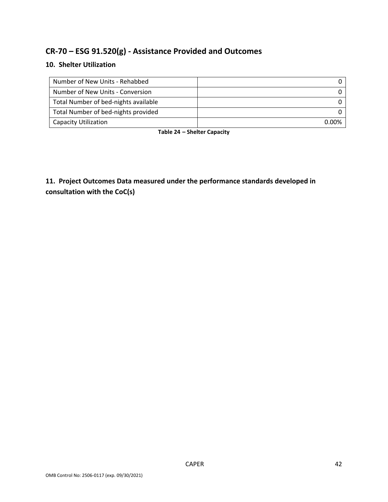# **CR‐70 – ESG 91.520(g) ‐ Assistance Provided and Outcomes**

# **10. Shelter Utilization**

| Number of New Units - Rehabbed       |              |
|--------------------------------------|--------------|
| Number of New Units - Conversion     |              |
| Total Number of bed-nights available |              |
| Total Number of bed-nights provided  |              |
| Capacity Utilization                 | <u>በ በበ%</u> |

**Table 24 – Shelter Capacity** 

**11. Project Outcomes Data measured under the performance standards developed in consultation with the CoC(s)**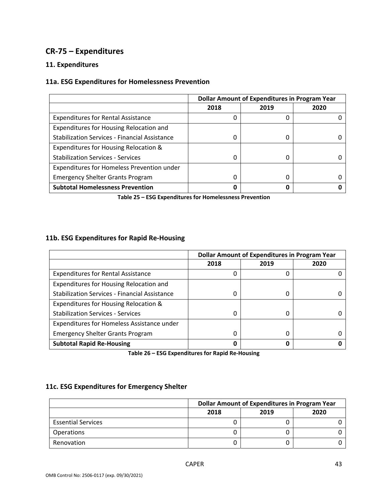# **CR‐75 – Expenditures**

# **11. Expenditures**

# **11a. ESG Expenditures for Homelessness Prevention**

|                                                      | <b>Dollar Amount of Expenditures in Program Year</b> |      |      |
|------------------------------------------------------|------------------------------------------------------|------|------|
|                                                      | 2018                                                 | 2019 | 2020 |
| <b>Expenditures for Rental Assistance</b>            | O                                                    | 0    |      |
| Expenditures for Housing Relocation and              |                                                      |      |      |
| <b>Stabilization Services - Financial Assistance</b> | 0                                                    | 0    |      |
| Expenditures for Housing Relocation &                |                                                      |      |      |
| <b>Stabilization Services - Services</b>             | <sup>0</sup>                                         | 0    |      |
| Expenditures for Homeless Prevention under           |                                                      |      |      |
| <b>Emergency Shelter Grants Program</b>              | 0                                                    | 0    |      |
| <b>Subtotal Homelessness Prevention</b>              |                                                      | 0    |      |

**Table 25 – ESG Expenditures for Homelessness Prevention** 

# **11b. ESG Expenditures for Rapid Re‐Housing**

|                                                      | <b>Dollar Amount of Expenditures in Program Year</b> |      |      |
|------------------------------------------------------|------------------------------------------------------|------|------|
|                                                      | 2018                                                 | 2019 | 2020 |
| <b>Expenditures for Rental Assistance</b>            | 0                                                    | 0    |      |
| Expenditures for Housing Relocation and              |                                                      |      |      |
| <b>Stabilization Services - Financial Assistance</b> | 0                                                    | 0    |      |
| Expenditures for Housing Relocation &                |                                                      |      |      |
| <b>Stabilization Services - Services</b>             | <sup>0</sup>                                         | 0    |      |
| Expenditures for Homeless Assistance under           |                                                      |      |      |
| <b>Emergency Shelter Grants Program</b>              | 0                                                    | 0    |      |
| <b>Subtotal Rapid Re-Housing</b>                     | 0                                                    | 0    |      |

**Table 26 – ESG Expenditures for Rapid Re‐Housing** 

#### **11c. ESG Expenditures for Emergency Shelter**

|                           | <b>Dollar Amount of Expenditures in Program Year</b> |      |      |
|---------------------------|------------------------------------------------------|------|------|
|                           | 2018                                                 | 2019 | 2020 |
| <b>Essential Services</b> |                                                      |      |      |
| <b>Operations</b>         |                                                      |      |      |
| Renovation                |                                                      |      |      |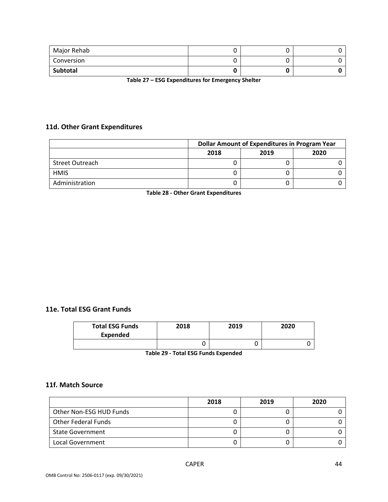| Major Rehab |  |  |
|-------------|--|--|
| Conversion  |  |  |
| Subtotal    |  |  |

**Table 27 – ESG Expenditures for Emergency Shelter** 

# **11d. Other Grant Expenditures**

|                 | <b>Dollar Amount of Expenditures in Program Year</b> |      |      |
|-----------------|------------------------------------------------------|------|------|
|                 | 2018                                                 | 2019 | 2020 |
| Street Outreach |                                                      |      |      |
| <b>HMIS</b>     |                                                      |      |      |
| Administration  |                                                      |      |      |

**Table 28 ‐ Other Grant Expenditures** 

#### **11e. Total ESG Grant Funds**

| <b>Total ESG Funds</b><br><b>Expended</b> | 2018 | 2019 | 2020 |
|-------------------------------------------|------|------|------|
|                                           |      |      |      |

**Table 29 ‐ Total ESG Funds Expended** 

# **11f. Match Source**

|                         | 2018 | 2019 | 2020 |
|-------------------------|------|------|------|
| Other Non-ESG HUD Funds |      |      |      |
| Other Federal Funds     |      |      |      |
| <b>State Government</b> |      |      |      |
| Local Government        |      |      |      |